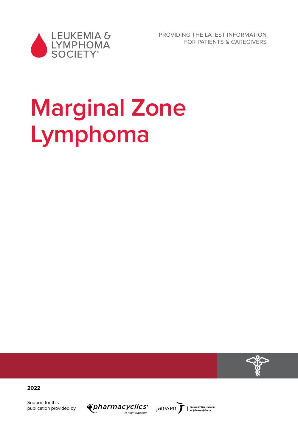

PROVIDING THE LATEST INFORMATION FOR PATIENTS & CAREGIVERS

# **Marginal Zone Lymphoma**



**2022**

Support for this publication provided by



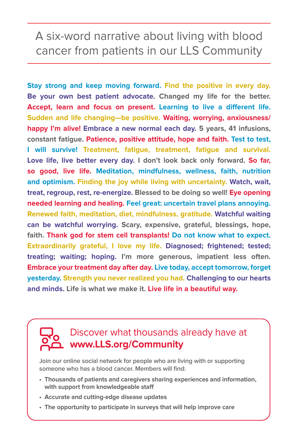## A six-word narrative about living with blood cancer from patients in our LLS Community

**Stay strong and keep moving forward. Find the positive in every day. Be your own best patient advocate. Changed my life for the better. Accept, learn and focus on present. Learning to live a different life. Sudden and life changing—be positive. Waiting, worrying, anxiousness/ happy I'm alive! Embrace a new normal each day. 5 years, 41 infusions, constant fatigue. Patience, positive attitude, hope and faith. Test to test, I will survive! Treatment, fatigue, treatment, fatigue and survival. Love life, live better every day. I don't look back only forward. So far, so good, live life. Meditation, mindfulness, wellness, faith, nutrition and optimism. Finding the joy while living with uncertainty. Watch, wait, treat, regroup, rest, re-energize. Blessed to be doing so well! Eye opening needed learning and healing. Feel great: uncertain travel plans annoying. Renewed faith, meditation, diet, mindfulness, gratitude. Watchful waiting can be watchful worrying. Scary, expensive, grateful, blessings, hope, faith. Thank god for stem cell transplants! Do not know what to expect. Extraordinarily grateful, I love my life. Diagnosed; frightened; tested; treating; waiting; hoping. I'm more generous, impatient less often. Embrace your treatment day after day. Live today, accept tomorrow, forget yesterday. Strength you never realized you had. Challenging to our hearts and minds. Life is what we make it. Live life in a beautiful way.**

## Discover what thousands already have at **www.LLS.org/Community**

**Join our online social network for people who are living with or supporting someone who has a blood cancer. Members will find:** 

- **Thousands of patients and caregivers sharing experiences and information, with support from knowledgeable staff**
- **Accurate and cutting-edge disease updates**
- **The opportunity to participate in surveys that will help improve care**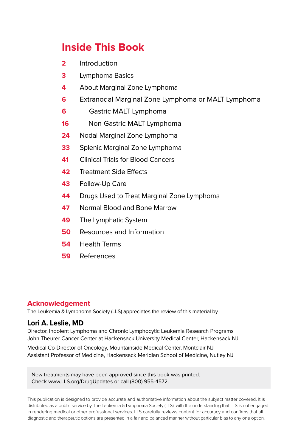## **Inside This Book**

- **2** Introduction
- **3** Lymphoma Basics
- **4** About Marginal Zone Lymphoma
- **6** Extranodal Marginal Zone Lymphoma or MALT Lymphoma
- **6** Gastric MALT Lymphoma
- **16** Non-Gastric MALT Lymphoma
- **24** Nodal Marginal Zone Lymphoma
- **33** Splenic Marginal Zone Lymphoma
- **41** Clinical Trials for Blood Cancers
- **42** Treatment Side Effects
- **43** Follow-Up Care
- **44** Drugs Used to Treat Marginal Zone Lymphoma
- **47** Normal Blood and Bone Marrow
- **49** The Lymphatic System
- **50** Resources and Information
- **54** Health Terms
- **59** References

#### **Acknowledgement**

The Leukemia & Lymphoma Society (LLS) appreciates the review of this material by

#### **Lori A. Leslie, MD**

Director, Indolent Lymphoma and Chronic Lymphocytic Leukemia Research Programs John Theurer Cancer Center at Hackensack University Medical Center, Hackensack NJ

Medical Co-Director of Oncology, Mountainside Medical Center, Montclair NJ Assistant Professor of Medicine, Hackensack Meridian School of Medicine, Nutley NJ

New treatments may have been approved since this book was printed. Check www.LLS.org/DrugUpdates or call (800) 955-4572.

This publication is designed to provide accurate and authoritative information about the subject matter covered. It is distributed as a public service by The Leukemia & Lymphoma Society (LLS), with the understanding that LLS is not engaged in rendering medical or other professional services. LLS carefully reviews content for accuracy and confirms that all diagnostic and therapeutic options are presented in a fair and balanced manner without particular bias to any one option.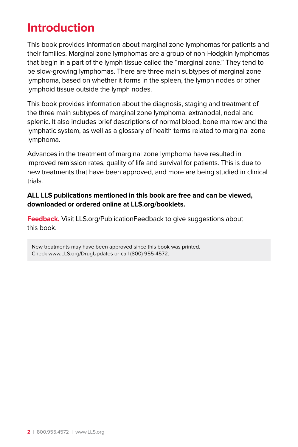## **Introduction**

This book provides information about marginal zone lymphomas for patients and their families. Marginal zone lymphomas are a group of non-Hodgkin lymphomas that begin in a part of the lymph tissue called the "marginal zone." They tend to be slow-growing lymphomas. There are three main subtypes of marginal zone lymphoma, based on whether it forms in the spleen, the lymph nodes or other lymphoid tissue outside the lymph nodes.

This book provides information about the diagnosis, staging and treatment of the three main subtypes of marginal zone lymphoma: extranodal, nodal and splenic. It also includes brief descriptions of normal blood, bone marrow and the lymphatic system, as well as a glossary of health terms related to marginal zone lymphoma.

Advances in the treatment of marginal zone lymphoma have resulted in improved remission rates, quality of life and survival for patients. This is due to new treatments that have been approved, and more are being studied in clinical trials.

#### **ALL LLS publications mentioned in this book are free and can be viewed, downloaded or ordered online at LLS.org/booklets.**

**Feedback.** Visit LLS.org/PublicationFeedback to give suggestions about this book.

New treatments may have been approved since this book was printed. Check www.LLS.org/DrugUpdates or call (800) 955-4572.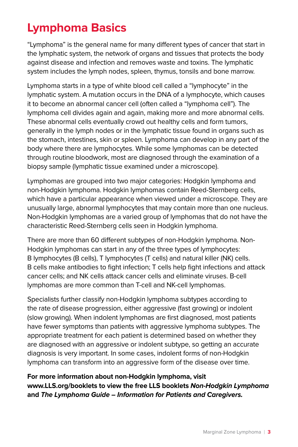## **Lymphoma Basics**

"Lymphoma" is the general name for many different types of cancer that start in the lymphatic system, the network of organs and tissues that protects the body against disease and infection and removes waste and toxins. The lymphatic system includes the lymph nodes, spleen, thymus, tonsils and bone marrow.

Lymphoma starts in a type of white blood cell called a "lymphocyte" in the lymphatic system. A mutation occurs in the DNA of a lymphocyte, which causes it to become an abnormal cancer cell (often called a "lymphoma cell"). The lymphoma cell divides again and again, making more and more abnormal cells. These abnormal cells eventually crowd out healthy cells and form tumors, generally in the lymph nodes or in the lymphatic tissue found in organs such as the stomach, intestines, skin or spleen. Lymphoma can develop in any part of the body where there are lymphocytes. While some lymphomas can be detected through routine bloodwork, most are diagnosed through the examination of a biopsy sample (lymphatic tissue examined under a microscope).

Lymphomas are grouped into two major categories: Hodgkin lymphoma and non-Hodgkin lymphoma. Hodgkin lymphomas contain Reed-Sternberg cells, which have a particular appearance when viewed under a microscope. They are unusually large, abnormal lymphocytes that may contain more than one nucleus. Non-Hodgkin lymphomas are a varied group of lymphomas that do not have the characteristic Reed-Sternberg cells seen in Hodgkin lymphoma.

There are more than 60 different subtypes of non-Hodgkin lymphoma. Non-Hodgkin lymphomas can start in any of the three types of lymphocytes: B lymphocytes (B cells), T lymphocytes (T cells) and natural killer (NK) cells. B cells make antibodies to fight infection; T cells help fight infections and attack cancer cells; and NK cells attack cancer cells and eliminate viruses. B-cell lymphomas are more common than T-cell and NK-cell lymphomas.

Specialists further classify non-Hodgkin lymphoma subtypes according to the rate of disease progression, either aggressive (fast growing) or indolent (slow growing). When indolent lymphomas are first diagnosed, most patients have fewer symptoms than patients with aggressive lymphoma subtypes. The appropriate treatment for each patient is determined based on whether they are diagnosed with an aggressive or indolent subtype, so getting an accurate diagnosis is very important. In some cases, indolent forms of non-Hodgkin lymphoma can transform into an aggressive form of the disease over time.

#### **For more information about non-Hodgkin lymphoma, visit www.LLS.org/booklets to view the free LLS booklets Non-Hodgkin Lymphoma and The Lymphoma Guide – Information for Patients and Caregivers.**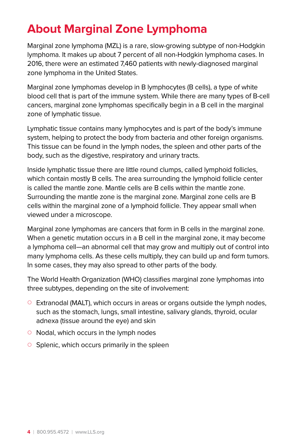## **About Marginal Zone Lymphoma**

Marginal zone lymphoma (MZL) is a rare, slow-growing subtype of non-Hodgkin lymphoma. It makes up about 7 percent of all non-Hodgkin lymphoma cases. In 2016, there were an estimated 7,460 patients with newly-diagnosed marginal zone lymphoma in the United States.

Marginal zone lymphomas develop in B lymphocytes (B cells), a type of white blood cell that is part of the immune system. While there are many types of B-cell cancers, marginal zone lymphomas specifically begin in a B cell in the marginal zone of lymphatic tissue.

Lymphatic tissue contains many lymphocytes and is part of the body's immune system, helping to protect the body from bacteria and other foreign organisms. This tissue can be found in the lymph nodes, the spleen and other parts of the body, such as the digestive, respiratory and urinary tracts.

Inside lymphatic tissue there are little round clumps, called lymphoid follicles, which contain mostly B cells. The area surrounding the lymphoid follicle center is called the mantle zone. Mantle cells are B cells within the mantle zone. Surrounding the mantle zone is the marginal zone. Marginal zone cells are B cells within the marginal zone of a lymphoid follicle. They appear small when viewed under a microscope.

Marginal zone lymphomas are cancers that form in B cells in the marginal zone. When a genetic mutation occurs in a B cell in the marginal zone, it may become a lymphoma cell—an abnormal cell that may grow and multiply out of control into many lymphoma cells. As these cells multiply, they can build up and form tumors. In some cases, they may also spread to other parts of the body.

The World Health Organization (WHO) classifies marginal zone lymphomas into three subtypes, depending on the site of involvement:

- $\circ$  Extranodal (MALT), which occurs in areas or organs outside the lymph nodes, such as the stomach, lungs, small intestine, salivary glands, thyroid, ocular adnexa (tissue around the eye) and skin
- $\circ$  Nodal, which occurs in the lymph nodes
- $\circ$  Splenic, which occurs primarily in the spleen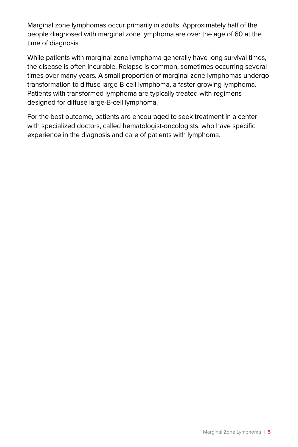Marginal zone lymphomas occur primarily in adults. Approximately half of the people diagnosed with marginal zone lymphoma are over the age of 60 at the time of diagnosis.

While patients with marginal zone lymphoma generally have long survival times, the disease is often incurable. Relapse is common, sometimes occurring several times over many years. A small proportion of marginal zone lymphomas undergo transformation to diffuse large-B-cell lymphoma, a faster-growing lymphoma. Patients with transformed lymphoma are typically treated with regimens designed for diffuse large-B-cell lymphoma.

For the best outcome, patients are encouraged to seek treatment in a center with specialized doctors, called hematologist-oncologists, who have specific experience in the diagnosis and care of patients with lymphoma.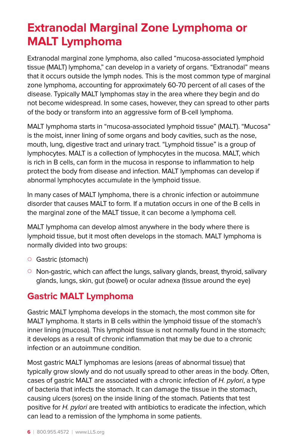## **Extranodal Marginal Zone Lymphoma or MALT Lymphoma**

Extranodal marginal zone lymphoma, also called "mucosa-associated lymphoid tissue (MALT) lymphoma," can develop in a variety of organs. "Extranodal" means that it occurs outside the lymph nodes. This is the most common type of marginal zone lymphoma, accounting for approximately 60-70 percent of all cases of the disease. Typically MALT lymphomas stay in the area where they begin and do not become widespread. In some cases, however, they can spread to other parts of the body or transform into an aggressive form of B-cell lymphoma.

MALT lymphoma starts in "mucosa-associated lymphoid tissue" (MALT). "Mucosa" is the moist, inner lining of some organs and body cavities, such as the nose, mouth, lung, digestive tract and urinary tract. "Lymphoid tissue" is a group of lymphocytes. MALT is a collection of lymphocytes in the mucosa. MALT, which is rich in B cells, can form in the mucosa in response to inflammation to help protect the body from disease and infection. MALT lymphomas can develop if abnormal lymphocytes accumulate in the lymphoid tissue.

In many cases of MALT lymphoma, there is a chronic infection or autoimmune disorder that causes MALT to form. If a mutation occurs in one of the B cells in the marginal zone of the MALT tissue, it can become a lymphoma cell.

MALT lymphoma can develop almost anywhere in the body where there is lymphoid tissue, but it most often develops in the stomach. MALT lymphoma is normally divided into two groups:

- Gastric (stomach)
- $\circ$  Non-gastric, which can affect the lungs, salivary glands, breast, thyroid, salivary glands, lungs, skin, gut (bowel) or ocular adnexa (tissue around the eye)

## **Gastric MALT Lymphoma**

Gastric MALT lymphoma develops in the stomach, the most common site for MALT lymphoma. It starts in B cells within the lymphoid tissue of the stomach's inner lining (mucosa). This lymphoid tissue is not normally found in the stomach; it develops as a result of chronic inflammation that may be due to a chronic infection or an autoimmune condition.

Most gastric MALT lymphomas are lesions (areas of abnormal tissue) that typically grow slowly and do not usually spread to other areas in the body. Often, cases of gastric MALT are associated with a chronic infection of H. pylori, a type of bacteria that infects the stomach. It can damage the tissue in the stomach, causing ulcers (sores) on the inside lining of the stomach. Patients that test positive for H. pylori are treated with antibiotics to eradicate the infection, which can lead to a remission of the lymphoma in some patients.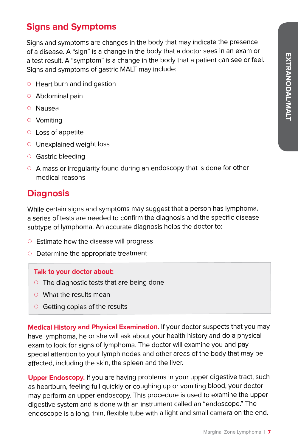## **Signs and Symptoms**

Signs and symptoms are changes in the body that may indicate the presence of a disease. A "sign" is a change in the body that a doctor sees in an exam or a test result. A "symptom" is a change in the body that a patient can see or feel. Signs and symptoms of gastric MALT may include:

- $\circ\;$  Heart burn and indigestion
- $\circ~$  Abdominal pain
- ${\circ}{}$  Nausea
- $\circ\,$  Vomiting
- $\circ\;$  Loss of appetite
- $\circ$  Unexplained weight loss
- ${\circ}\;$  Gastric bleeding
- $\circ~$  A mass or irregularity found during an endoscopy that is done for other medical reasons

## **Diagnosis**

While certain signs and symptoms may suggest that a person has lymphoma, a series of tests are needed to confirm the diagnosis and the specific disease subtype of lymphoma. An accurate diagnosis helps the doctor to:

- $\circ~$  Estimate how the disease will progress
- $\circ~$  Determine the appropriate treatment

#### **Talk to your doctor about:**

- $\circ~$  The diagnostic tests that are being done
- $\circ$  What the results mean
- $\circ$  Getting copies of the results

**Medical History and Physical Examination.** If your doctor suspects that you may have lymphoma, he or she will ask about your health history and do a physical exam to look for signs of lymphoma. The doctor will examine you and pay special attention to your lymph nodes and other areas of the body that may be affected, including the skin, the spleen and the liver.

**Upper Endoscopy.** If you are having problems in your upper digestive tract, such as heartburn, feeling full quickly or coughing up or vomiting blood, your doctor may perform an upper endoscopy. This procedure is used to examine the upper digestive system and is done with an instrument called an "endoscope." The endoscope is a long, thin, flexible tube with a light and small camera on the end.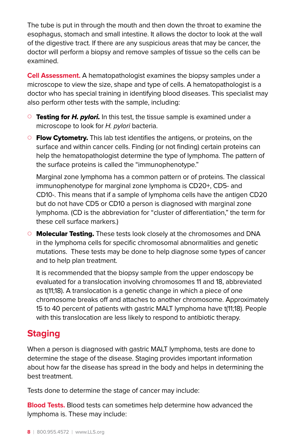The tube is put in through the mouth and then down the throat to examine the esophagus, stomach and small intestine. It allows the doctor to look at the wall of the digestive tract. If there are any suspicious areas that may be cancer, the doctor will perform a biopsy and remove samples of tissue so the cells can be examined.

**Cell Assessment.** A hematopathologist examines the biopsy samples under a microscope to view the size, shape and type of cells. A hematopathologist is a doctor who has special training in identifying blood diseases. This specialist may also perform other tests with the sample, including:

- { Testing for *H. pylori.* In this test, the tissue sample is examined under a microscope to look for H. pylori bacteria.
- $\circ$  Flow Cytometry. This lab test identifies the antigens, or proteins, on the surface and within cancer cells. Finding (or not finding) certain proteins can help the hematopathologist determine the type of lymphoma. The pattern of the surface proteins is called the "immunophenotype."

Marginal zone lymphoma has a common pattern or of proteins. The classical immunophenotype for marginal zone lymphoma is CD20+, CD5- and CD10-. This means that if a sample of lymphoma cells have the antigen CD20 but do not have CD5 or CD10 a person is diagnosed with marginal zone lymphoma. (CD is the abbreviation for "cluster of differentiation," the term for these cell surface markers.)

 $\circ$  **Molecular Testing.** These tests look closely at the chromosomes and DNA in the lymphoma cells for specific chromosomal abnormalities and genetic mutations. These tests may be done to help diagnose some types of cancer and to help plan treatment.

It is recommended that the biopsy sample from the upper endoscopy be evaluated for a translocation involving chromosomes 11 and 18, abbreviated as t(11;18). A translocation is a genetic change in which a piece of one chromosome breaks off and attaches to another chromosome. Approximately 15 to 40 percent of patients with gastric MALT lymphoma have t(11;18). People with this translocation are less likely to respond to antibiotic therapy.

## **Staging**

When a person is diagnosed with gastric MALT lymphoma, tests are done to determine the stage of the disease. Staging provides important information about how far the disease has spread in the body and helps in determining the best treatment.

Tests done to determine the stage of cancer may include:

**Blood Tests.** Blood tests can sometimes help determine how advanced the lymphoma is. These may include: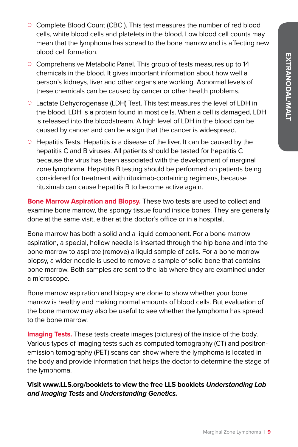- $\circ$  Complete Blood Count (CBC). This test measures the number of red blood cells, white blood cells and platelets in the blood. Low blood cell counts may mean that the lymphoma has spread to the bone marrow and is affecting new blood cell formation.
- { Comprehensive Metabolic Panel. This group of tests measures up to 14 chemicals in the blood. It gives important information about how well a person's kidneys, liver and other organs are working. Abnormal levels of these chemicals can be caused by cancer or other health problems.
- Lactate Dehydrogenase (LDH) Test. This test measures the level of LDH in the blood. LDH is a protein found in most cells. When a cell is damaged, LDH is released into the bloodstream. A high level of LDH in the blood can be caused by cancer and can be a sign that the cancer is widespread.
- $\circ$  Hepatitis Tests. Hepatitis is a disease of the liver. It can be caused by the hepatitis C and B viruses. All patients should be tested for hepatitis C because the virus has been associated with the development of marginal zone lymphoma. Hepatitis B testing should be performed on patients being considered for treatment with rituximab-containing regimens, because rituximab can cause hepatitis B to become active again.

**Bone Marrow Aspiration and Biopsy.** These two tests are used to collect and examine bone marrow, the spongy tissue found inside bones. They are generally done at the same visit, either at the doctor's office or in a hospital.

Bone marrow has both a solid and a liquid component. For a bone marrow aspiration, a special, hollow needle is inserted through the hip bone and into the bone marrow to aspirate (remove) a liquid sample of cells. For a bone marrow biopsy, a wider needle is used to remove a sample of solid bone that contains bone marrow. Both samples are sent to the lab where they are examined under a microscope.

Bone marrow aspiration and biopsy are done to show whether your bone marrow is healthy and making normal amounts of blood cells. But evaluation of the bone marrow may also be useful to see whether the lymphoma has spread to the bone marrow.

**Imaging Tests.** These tests create images (pictures) of the inside of the body. Various types of imaging tests such as computed tomography (CT) and positronemission tomography (PET) scans can show where the lymphoma is located in the body and provide information that helps the doctor to determine the stage of the lymphoma.

**Visit www.LLS.org/booklets to view the free LLS booklets Understanding Lab and Imaging Tests and Understanding Genetics.**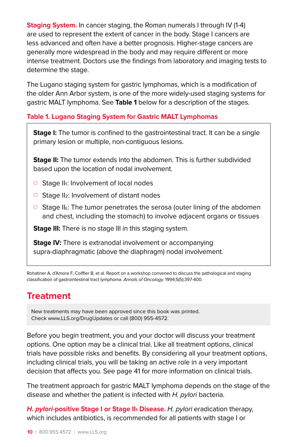**Staging System.** In cancer staging, the Roman numerals I through IV (1-4) are used to represent the extent of cancer in the body. Stage I cancers are less advanced and often have a better prognosis. Higher-stage cancers are generally more widespread in the body and may require different or more intense treatment. Doctors use the findings from laboratory and imaging tests to determine the stage.

The Lugano staging system for gastric lymphomas, which is a modification of the older Ann Arbor system, is one of the more widely-used staging systems for gastric MALT lymphoma. See **Table 1** below for a description of the stages.

#### **Table 1. Lugano Staging System for Gastric MALT Lymphomas**

**Stage I:** The tumor is confined to the gastrointestinal tract. It can be a single primary lesion or multiple, non-contiguous lesions.

**Stage II:** The tumor extends into the abdomen. This is further subdivided based upon the location of nodal involvement.

- $\circ$  Stage II<sub>1</sub>: Involvement of local nodes
- $\circ$  Stage II<sub>2</sub>: Involvement of distant nodes
- $\circ$  Stage II<sub>E</sub>: The tumor penetrates the serosa (outer lining of the abdomen and chest, including the stomach) to involve adjacent organs or tissues

**Stage III:** There is no stage III in this staging system.

**Stage IV:** There is extranodal involvement or accompanying supra-diaphragmatic (above the diaphragm) nodal involvement.

Rohatiner A, d'Amore F, Coiffier B, et al. Report on a workshop convened to discuss the pathological and staging classification of gastrointestinal tract lymphoma. Annals of Oncology. 1994;5(5):397-400.

### **Treatment**

New treatments may have been approved since this book was printed. Check www.LLS.org/DrugUpdates or call (800) 955-4572.

Before you begin treatment, you and your doctor will discuss your treatment options. One option may be a clinical trial. Like all treatment options, clinical trials have possible risks and benefits. By considering all your treatment options, including clinical trials, you will be taking an active role in a very important decision that affects you. See page 41 for more information on clinical trials.

The treatment approach for gastric MALT lymphoma depends on the stage of the disease and whether the patient is infected with H. pylori bacteria.

**H. pylori-positive Stage I or Stage II<sup>I</sup> Disease.** H. pylori eradication therapy, which includes antibiotics, is recommended for all patients with stage I or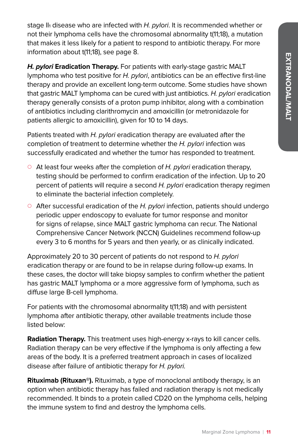stage II<sub>1</sub> disease who are infected with H. pylori. It is recommended whether or not their lymphoma cells have the chromosomal abnormality t(11;18), a mutation that makes it less likely for a patient to respond to antibiotic therapy. For more information about t(11;18), see page 8.

**H. pylori Eradication Therapy.** For patients with early-stage gastric MALT lymphoma who test positive for  $H$ . pylori, antibiotics can be an effective first-line therapy and provide an excellent long-term outcome. Some studies have shown that gastric MALT lymphoma can be cured with just antibiotics. H. pylori eradication therapy generally consists of a proton pump inhibitor, along with a combination of antibiotics including clarithromycin and amoxicillin (or metronidazole for patients allergic to amoxicillin), given for 10 to 14 days.

Patients treated with H. pylori eradication therapy are evaluated after the completion of treatment to determine whether the H. pylori infection was successfully eradicated and whether the tumor has responded to treatment.

- $\circ$  At least four weeks after the completion of H. pylori eradication therapy, testing should be performed to confirm eradication of the infection. Up to 20 percent of patients will require a second H. pylori eradication therapy regimen to eliminate the bacterial infection completely.
- $\circ$  After successful eradication of the H. pylori infection, patients should undergo periodic upper endoscopy to evaluate for tumor response and monitor for signs of relapse, since MALT gastric lymphoma can recur. The National Comprehensive Cancer Network (NCCN) Guidelines recommend follow-up every 3 to 6 months for 5 years and then yearly, or as clinically indicated.

Approximately 20 to 30 percent of patients do not respond to H. pylori eradication therapy or are found to be in relapse during follow-up exams. In these cases, the doctor will take biopsy samples to confirm whether the patient has gastric MALT lymphoma or a more aggressive form of lymphoma, such as diffuse large B-cell lymphoma.

For patients with the chromosomal abnormality t(11;18) and with persistent lymphoma after antibiotic therapy, other available treatments include those listed below:

**Radiation Therapy.** This treatment uses high-energy x-rays to kill cancer cells. Radiation therapy can be very effective if the lymphoma is only affecting a few areas of the body. It is a preferred treatment approach in cases of localized disease after failure of antibiotic therapy for H. pylori.

**Rituximab (Rituxan®).** Rituximab, a type of monoclonal antibody therapy, is an option when antibiotic therapy has failed and radiation therapy is not medically recommended. It binds to a protein called CD20 on the lymphoma cells, helping the immune system to find and destroy the lymphoma cells.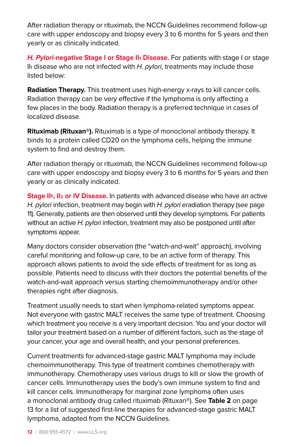After radiation therapy or rituximab, the NCCN Guidelines recommend follow-up care with upper endoscopy and biopsy every 3 to 6 months for 5 years and then yearly or as clinically indicated.

**H. Pylori-negative Stage I or Stage II<sup>1</sup> Disease.** For patients with stage I or stage II<sub>1</sub> disease who are not infected with H. pylori, treatments may include those listed below:

**Radiation Therapy.** This treatment uses high-energy x-rays to kill cancer cells. Radiation therapy can be very effective if the lymphoma is only affecting a few places in the body. Radiation therapy is a preferred technique in cases of localized disease.

**Rituximab (Rituxan®).** Rituximab is a type of monoclonal antibody therapy. It binds to a protein called CD20 on the lymphoma cells, helping the immune system to find and destroy them.

After radiation therapy or rituximab, the NCCN Guidelines recommend follow-up care with upper endoscopy and biopsy every 3 to 6 months for 5 years and then yearly or as clinically indicated.

**Stage IIE, II2 or IV Disease.** In patients with advanced disease who have an active H. pylori infection, treatment may begin with H. pylori eradiation therapy (see page 11). Generally, patients are then observed until they develop symptoms. For patients without an active  $H$ . pylori infection, treatment may also be postponed until after symptoms appear.

Many doctors consider observation (the "watch-and-wait" approach), involving careful monitoring and follow-up care, to be an active form of therapy. This approach allows patients to avoid the side effects of treatment for as long as possible. Patients need to discuss with their doctors the potential benefits of the watch-and-wait approach versus starting chemoimmunotherapy and/or other therapies right after diagnosis.

Treatment usually needs to start when lymphoma-related symptoms appear. Not everyone with gastric MALT receives the same type of treatment. Choosing which treatment you receive is a very important decision. You and your doctor will tailor your treatment based on a number of different factors, such as the stage of your cancer, your age and overall health, and your personal preferences.

Current treatments for advanced-stage gastric MALT lymphoma may include chemoimmunotherapy. This type of treatment combines chemotherapy with immunotherapy. Chemotherapy uses various drugs to kill or slow the growth of cancer cells. Immunotherapy uses the body's own immune system to find and kill cancer cells. Immunotherapy for marginal zone lymphoma often uses a monoclonal antibody drug called rituximab (Rituxan®). See **Table 2** on page 13 for a list of suggested first-line therapies for advanced-stage gastric MALT lymphoma, adapted from the NCCN Guidelines.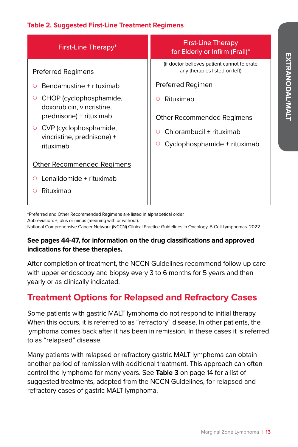#### **Table 2. Suggested First-Line Treatment Regimens**

| First-Line Therapy*                                                    | <b>First-Line Therapy</b><br>for Elderly or Infirm (Frail)*                   |
|------------------------------------------------------------------------|-------------------------------------------------------------------------------|
| <b>Preferred Regimens</b>                                              | (if doctor believes patient cannot tolerate)<br>any therapies listed on left) |
| Bendamustine + rituximab<br>O                                          | Preferred Regimen                                                             |
| CHOP (cyclophosphamide,<br>doxorubicin, vincristine,                   | Rituximab<br>∩                                                                |
| prednisone) + rituximab                                                | <b>Other Recommended Regimens</b>                                             |
| CVP (cyclophosphamide,<br>O<br>vincristine, prednisone) +<br>rituximab | Chlorambucil ± rituximab<br>∩                                                 |
|                                                                        | Cyclophosphamide $\pm$ rituximab<br>$\circ$                                   |
| Other Recommended Regimens                                             |                                                                               |
| Lenalidomide + rituximab<br>Ο                                          |                                                                               |
| Rituximab<br>O                                                         |                                                                               |
|                                                                        |                                                                               |

\*Preferred and Other Recommended Regimens are listed in alphabetical order.

Abbreviation: ±, plus or minus (meaning with or without).

National Comprehensive Cancer Network (NCCN) Clinical Practice Guidelines in Oncology. B-Cell Lymphomas. 2022.

#### **See pages 44-47, for information on the drug classifications and approved indications for these therapies.**

After completion of treatment, the NCCN Guidelines recommend follow-up care with upper endoscopy and biopsy every 3 to 6 months for 5 years and then yearly or as clinically indicated.

## **Treatment Options for Relapsed and Refractory Cases**

Some patients with gastric MALT lymphoma do not respond to initial therapy. When this occurs, it is referred to as "refractory" disease. In other patients, the lymphoma comes back after it has been in remission. In these cases it is referred to as "relapsed" disease.

Many patients with relapsed or refractory gastric MALT lymphoma can obtain another period of remission with additional treatment. This approach can often control the lymphoma for many years. See **Table 3** on page 14 for a list of suggested treatments, adapted from the NCCN Guidelines, for relapsed and refractory cases of gastric MALT lymphoma.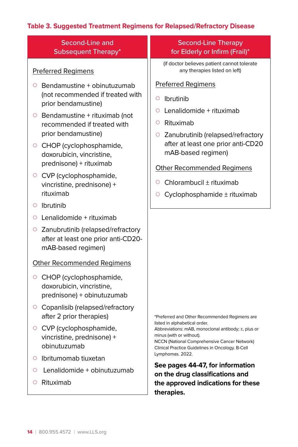### **Table 3. Suggested Treatment Regimens for Relapsed/Refractory Disease**

| Second-Line and                                                                                                                                                                                                                                                                                                                                                                                                                                                                                          | Second-Line Therapy                                                                                                                                                                                                                                                                                                                                                                                                  |
|----------------------------------------------------------------------------------------------------------------------------------------------------------------------------------------------------------------------------------------------------------------------------------------------------------------------------------------------------------------------------------------------------------------------------------------------------------------------------------------------------------|----------------------------------------------------------------------------------------------------------------------------------------------------------------------------------------------------------------------------------------------------------------------------------------------------------------------------------------------------------------------------------------------------------------------|
| <b>Subsequent Therapy*</b>                                                                                                                                                                                                                                                                                                                                                                                                                                                                               | for Elderly or Infirm (Frail)*                                                                                                                                                                                                                                                                                                                                                                                       |
| <b>Preferred Regimens</b>                                                                                                                                                                                                                                                                                                                                                                                                                                                                                | (if doctor believes patient cannot tolerate<br>any therapies listed on left)                                                                                                                                                                                                                                                                                                                                         |
| Bendamustine + obinutuzumab                                                                                                                                                                                                                                                                                                                                                                                                                                                                              | <b>Preferred Regimens</b>                                                                                                                                                                                                                                                                                                                                                                                            |
| O                                                                                                                                                                                                                                                                                                                                                                                                                                                                                                        | <b>Ibrutinib</b>                                                                                                                                                                                                                                                                                                                                                                                                     |
| (not recommended if treated with                                                                                                                                                                                                                                                                                                                                                                                                                                                                         | $\circ$                                                                                                                                                                                                                                                                                                                                                                                                              |
| prior bendamustine)                                                                                                                                                                                                                                                                                                                                                                                                                                                                                      | Lenalidomide + rituximab                                                                                                                                                                                                                                                                                                                                                                                             |
| $\circ$ Bendamustine + rituximab (not                                                                                                                                                                                                                                                                                                                                                                                                                                                                    | O                                                                                                                                                                                                                                                                                                                                                                                                                    |
| recommended if treated with                                                                                                                                                                                                                                                                                                                                                                                                                                                                              | Rituximab                                                                                                                                                                                                                                                                                                                                                                                                            |
| prior bendamustine)                                                                                                                                                                                                                                                                                                                                                                                                                                                                                      | $\circ$                                                                                                                                                                                                                                                                                                                                                                                                              |
| ○ CHOP (cyclophosphamide,                                                                                                                                                                                                                                                                                                                                                                                                                                                                                | Zanubrutinib (relapsed/refractory                                                                                                                                                                                                                                                                                                                                                                                    |
| doxorubicin, vincristine,                                                                                                                                                                                                                                                                                                                                                                                                                                                                                | O                                                                                                                                                                                                                                                                                                                                                                                                                    |
| prednisone) + rituximab                                                                                                                                                                                                                                                                                                                                                                                                                                                                                  | after at least one prior anti-CD20                                                                                                                                                                                                                                                                                                                                                                                   |
| CVP (cyclophosphamide,                                                                                                                                                                                                                                                                                                                                                                                                                                                                                   | mAB-based regimen)                                                                                                                                                                                                                                                                                                                                                                                                   |
| $\circ$                                                                                                                                                                                                                                                                                                                                                                                                                                                                                                  | <b>Other Recommended Regimens</b>                                                                                                                                                                                                                                                                                                                                                                                    |
| vincristine, prednisone) +                                                                                                                                                                                                                                                                                                                                                                                                                                                                               | Chlorambucil ± rituximab                                                                                                                                                                                                                                                                                                                                                                                             |
| rituximab                                                                                                                                                                                                                                                                                                                                                                                                                                                                                                | Ο                                                                                                                                                                                                                                                                                                                                                                                                                    |
| Ibrutinib                                                                                                                                                                                                                                                                                                                                                                                                                                                                                                | Cyclophosphamide ± rituximab                                                                                                                                                                                                                                                                                                                                                                                         |
| $\circ$                                                                                                                                                                                                                                                                                                                                                                                                                                                                                                  | Ο                                                                                                                                                                                                                                                                                                                                                                                                                    |
| Lenalidomide + rituximab<br>O<br>○ Zanubrutinib (relapsed/refractory<br>after at least one prior anti-CD20-<br>mAB-based regimen)<br><b>Other Recommended Regimens</b><br>CHOP (cyclophosphamide,<br>O<br>doxorubicin, vincristine,<br>prednisone) + obinutuzumab<br>Copanlisib (relapsed/refractory<br>$\circ$<br>after 2 prior therapies)<br>○ CVP (cyclophosphamide,<br>vincristine, prednisone) +<br>obinutuzumab<br>Ibritumomab tiuxetan<br>Ο<br>Lenalidomide + obinutuzumab<br>O<br>Rituximab<br>O | *Preferred and Other Recommended Regimens are<br>listed in alphabetical order.<br>Abbreviations: mAB, monoclonal antibody; ±, plus or<br>minus (with or without).<br>NCCN (National Comprehensive Cancer Network)<br>Clinical Practice Guidelines in Oncology. B-Cell<br>Lymphomas. 2022.<br>See pages 44-47, for information<br>on the drug classifications and<br>the approved indications for these<br>therapies. |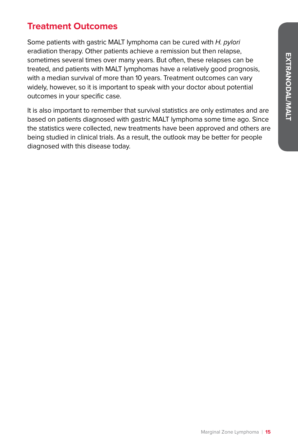## **Treatment Outcomes**

Some patients with gastric MALT lymphoma can be cured with H. pylori eradiation therapy. Other patients achieve a remission but then relapse, sometimes several times over many years. But often, these relapses can be treated, and patients with MALT lymphomas have a relatively good prognosis, with a median survival of more than 10 years. Treatment outcomes can vary widely, however, so it is important to speak with your doctor about potential outcomes in your specific case.

It is also important to remember that survival statistics are only estimates and are based on patients diagnosed with gastric MALT lymphoma some time ago. Since the statistics were collected, new treatments have been approved and others are being studied in clinical trials. As a result, the outlook may be better for people diagnosed with this disease today.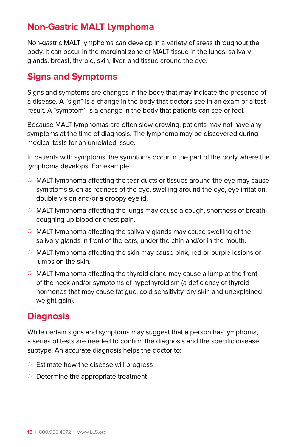## **Non-Gastric MALT Lymphoma**

Non-gastric MALT lymphoma can develop in a variety of areas throughout the body. It can occur in the marginal zone of MALT tissue in the lungs, salivary glands, breast, thyroid, skin, liver, and tissue around the eye.

### **Signs and Symptoms**

Signs and symptoms are changes in the body that may indicate the presence of a disease. A "sign" is a change in the body that doctors see in an exam or a test result. A "symptom" is a change in the body that patients can see or feel.

Because MALT lymphomas are often slow-growing, patients may not have any symptoms at the time of diagnosis. The lymphoma may be discovered during medical tests for an unrelated issue.

In patients with symptoms, the symptoms occur in the part of the body where the lymphoma develops. For example:

- $\circ$  MALT lymphoma affecting the tear ducts or tissues around the eye may cause symptoms such as redness of the eye, swelling around the eye, eye irritation, double vision and/or a droopy eyelid.
- $\circ$  MALT lymphoma affecting the lungs may cause a cough, shortness of breath, coughing up blood or chest pain.
- $\circ$  MALT lymphoma affecting the salivary glands may cause swelling of the salivary glands in front of the ears, under the chin and/or in the mouth.
- $\circ$  MALT lymphoma affecting the skin may cause pink, red or purple lesions or lumps on the skin.
- $\circ$  MALT lymphoma affecting the thyroid gland may cause a lump at the front of the neck and/or symptoms of hypothyroidism (a deficiency of thyroid hormones that may cause fatigue, cold sensitivity, dry skin and unexplained weight gain).

## **Diagnosis**

While certain signs and symptoms may suggest that a person has lymphoma, a series of tests are needed to confirm the diagnosis and the specific disease subtype. An accurate diagnosis helps the doctor to:

- $\circ$  Estimate how the disease will progress
- $\circ$  Determine the appropriate treatment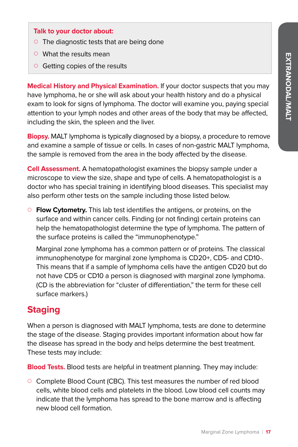#### **Talk to your doctor about:**

- $\circ$  The diagnostic tests that are being done
- $\circ$  What the results mean
- $\circ$  Getting copies of the results

**Medical History and Physical Examination.** If your doctor suspects that you may have lymphoma, he or she will ask about your health history and do a physical exam to look for signs of lymphoma. The doctor will examine you, paying special attention to your lymph nodes and other areas of the body that may be affected, including the skin, the spleen and the liver.

**Biopsy.** MALT lymphoma is typically diagnosed by a biopsy, a procedure to remove and examine a sample of tissue or cells. In cases of non-gastric MALT lymphoma, the sample is removed from the area in the body affected by the disease.

**Cell Assessment.** A hematopathologist examines the biopsy sample under a microscope to view the size, shape and type of cells. A hematopathologist is a doctor who has special training in identifying blood diseases. This specialist may also perform other tests on the sample including those listed below.

{ **Flow Cytometry.** This lab test identifies the antigens, or proteins, on the surface and within cancer cells. Finding (or not finding) certain proteins can help the hematopathologist determine the type of lymphoma. The pattern of the surface proteins is called the "immunophenotype."

Marginal zone lymphoma has a common pattern or of proteins. The classical immunophenotype for marginal zone lymphoma is CD20+, CD5- and CD10-. This means that if a sample of lymphoma cells have the antigen CD20 but do not have CD5 or CD10 a person is diagnosed with marginal zone lymphoma. (CD is the abbreviation for "cluster of differentiation," the term for these cell surface markers.)

### **Staging**

When a person is diagnosed with MALT lymphoma, tests are done to determine the stage of the disease. Staging provides important information about how far the disease has spread in the body and helps determine the best treatment. These tests may include:

**Blood Tests.** Blood tests are helpful in treatment planning. They may include:

 $\circ$  Complete Blood Count (CBC). This test measures the number of red blood cells, white blood cells and platelets in the blood. Low blood cell counts may indicate that the lymphoma has spread to the bone marrow and is affecting new blood cell formation.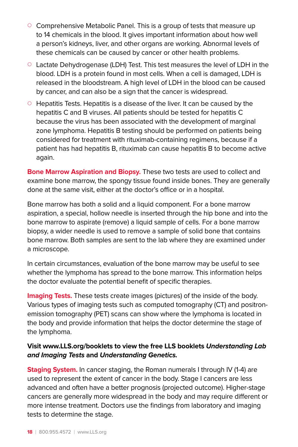- $\circ$  Comprehensive Metabolic Panel. This is a group of tests that measure up to 14 chemicals in the blood. It gives important information about how well a person's kidneys, liver, and other organs are working. Abnormal levels of these chemicals can be caused by cancer or other health problems.
- $\circ$  Lactate Dehydrogenase (LDH) Test. This test measures the level of LDH in the blood. LDH is a protein found in most cells. When a cell is damaged, LDH is released in the bloodstream. A high level of LDH in the blood can be caused by cancer, and can also be a sign that the cancer is widespread.
- $\circ$  Hepatitis Tests. Hepatitis is a disease of the liver. It can be caused by the hepatitis C and B viruses. All patients should be tested for hepatitis C because the virus has been associated with the development of marginal zone lymphoma. Hepatitis B testing should be performed on patients being considered for treatment with rituximab-containing regimens, because if a patient has had hepatitis B, rituximab can cause hepatitis B to become active again.

**Bone Marrow Aspiration and Biopsy.** These two tests are used to collect and examine bone marrow, the spongy tissue found inside bones. They are generally done at the same visit, either at the doctor's office or in a hospital.

Bone marrow has both a solid and a liquid component. For a bone marrow aspiration, a special, hollow needle is inserted through the hip bone and into the bone marrow to aspirate (remove) a liquid sample of cells. For a bone marrow biopsy, a wider needle is used to remove a sample of solid bone that contains bone marrow. Both samples are sent to the lab where they are examined under a microscope.

In certain circumstances, evaluation of the bone marrow may be useful to see whether the lymphoma has spread to the bone marrow. This information helps the doctor evaluate the potential benefit of specific therapies.

**Imaging Tests.** These tests create images (pictures) of the inside of the body. Various types of imaging tests such as computed tomography (CT) and positronemission tomography (PET) scans can show where the lymphoma is located in the body and provide information that helps the doctor determine the stage of the lymphoma.

#### **Visit www.LLS.org/booklets to view the free LLS booklets Understanding Lab and Imaging Tests and Understanding Genetics.**

**Staging System.** In cancer staging, the Roman numerals I through IV (1-4) are used to represent the extent of cancer in the body. Stage I cancers are less advanced and often have a better prognosis (projected outcome). Higher-stage cancers are generally more widespread in the body and may require different or more intense treatment. Doctors use the findings from laboratory and imaging tests to determine the stage.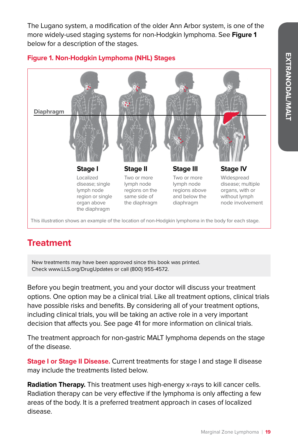**EXTRANODAL/MALI EXTRANODAL/MALT**

The Lugano system, a modification of the older Ann Arbor system, is one of the more widely-used staging systems for non-Hodgkin lymphoma. See **Figure 1** below for a description of the stages.



#### **Figure 1. Non-Hodgkin Lymphoma (NHL) Stages**

This illustration shows an example of the location of non-Hodgkin lymphoma in the body for each stage.

## **Treatment**

New treatments may have been approved since this book was printed. Check www.LLS.org/DrugUpdates or call (800) 955-4572.

the diaphragm

Before you begin treatment, you and your doctor will discuss your treatment options. One option may be a clinical trial. Like all treatment options, clinical trials have possible risks and benefits. By considering all of your treatment options, including clinical trials, you will be taking an active role in a very important decision that affects you. See page 41 for more information on clinical trials.

The treatment approach for non-gastric MALT lymphoma depends on the stage of the disease.

**Stage I or Stage II Disease.** Current treatments for stage I and stage II disease may include the treatments listed below.

**Radiation Therapy.** This treatment uses high-energy x-rays to kill cancer cells. Radiation therapy can be very effective if the lymphoma is only affecting a few areas of the body. It is a preferred treatment approach in cases of localized disease.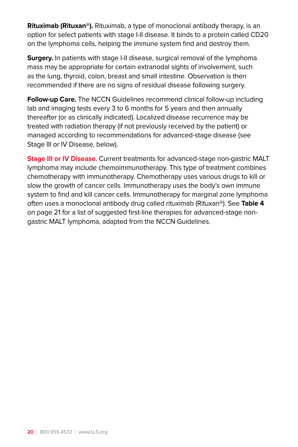**Rituximab (Rituxan®).** Rituximab, a type of monoclonal antibody therapy, is an option for select patients with stage I-II disease. It binds to a protein called CD20 on the lymphoma cells, helping the immune system find and destroy them.

**Surgery.** In patients with stage I-II disease, surgical removal of the lymphoma mass may be appropriate for certain extranodal sights of involvement, such as the lung, thyroid, colon, breast and small intestine. Observation is then recommended if there are no signs of residual disease following surgery.

**Follow-up Care.** The NCCN Guidelines recommend clinical follow-up including lab and imaging tests every 3 to 6 months for 5 years and then annually thereafter (or as clinically indicated). Localized disease recurrence may be treated with radiation therapy (if not previously received by the patient) or managed according to recommendations for advanced-stage disease (see Stage III or IV Disease, below).

**Stage III or IV Disease.** Current treatments for advanced-stage non-gastric MALT lymphoma may include chemoimmunotherapy. This type of treatment combines chemotherapy with immunotherapy. Chemotherapy uses various drugs to kill or slow the growth of cancer cells. Immunotherapy uses the body's own immune system to find and kill cancer cells. Immunotherapy for marginal zone lymphoma often uses a monoclonal antibody drug called rituximab (Rituxan®). See **Table 4**  on page 21 for a list of suggested first-line therapies for advanced-stage nongastric MALT lymphoma, adapted from the NCCN Guidelines.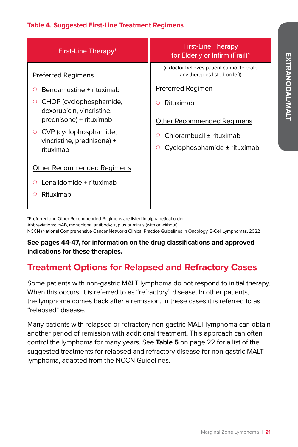#### **Table 4. Suggested First-Line Treatment Regimens**

| First-Line Therapy*                                                    | <b>First-Line Therapy</b><br>for Elderly or Infirm (Frail)*                   |
|------------------------------------------------------------------------|-------------------------------------------------------------------------------|
| Preferred Regimens                                                     | (if doctor believes patient cannot tolerate)<br>any therapies listed on left) |
| Bendamustine + rituximab                                               | Preferred Regimen                                                             |
| CHOP (cyclophosphamide,<br>doxorubicin, vincristine,                   | Rituximab<br>O                                                                |
| prednisone) + rituximab                                                | <b>Other Recommended Regimens</b>                                             |
| CVP (cyclophosphamide,<br>Ő<br>vincristine, prednisone) +<br>rituximab | Chlorambucil ± rituximab<br>∩                                                 |
|                                                                        | Cyclophosphamide ± rituximab<br>O                                             |
| Other Recommended Regimens                                             |                                                                               |
| Lenalidomide + rituximab                                               |                                                                               |
| Rituximab                                                              |                                                                               |
|                                                                        |                                                                               |

\*Preferred and Other Recommended Regimens are listed in alphabetical order.

Abbreviations: mAB, monoclonal antibody; ±, plus or minus (with or without). NCCN (National Comprehensive Cancer Network) Clinical Practice Guidelines in Oncology. B-Cell Lymphomas. 2022

#### **See pages 44-47, for information on the drug classifications and approved indications for these therapies.**

## **Treatment Options for Relapsed and Refractory Cases**

Some patients with non-gastric MALT lymphoma do not respond to initial therapy. When this occurs, it is referred to as "refractory" disease. In other patients, the lymphoma comes back after a remission. In these cases it is referred to as "relapsed" disease.

Many patients with relapsed or refractory non-gastric MALT lymphoma can obtain another period of remission with additional treatment. This approach can often control the lymphoma for many years. See **Table 5** on page 22 for a list of the suggested treatments for relapsed and refractory disease for non-gastric MALT lymphoma, adapted from the NCCN Guidelines.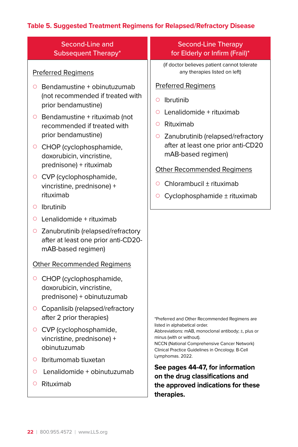### **Table 5. Suggested Treatment Regimens for Relapsed/Refractory Disease**

| Second-Line and<br><b>Subsequent Therapy*</b>                                                                                                                                                                                                                                                                                                                         | <b>Second-Line Therapy</b><br>for Elderly or Infirm (Frail)*                                                                                                                                                                                                                                                    |
|-----------------------------------------------------------------------------------------------------------------------------------------------------------------------------------------------------------------------------------------------------------------------------------------------------------------------------------------------------------------------|-----------------------------------------------------------------------------------------------------------------------------------------------------------------------------------------------------------------------------------------------------------------------------------------------------------------|
| <b>Preferred Regimens</b>                                                                                                                                                                                                                                                                                                                                             | (if doctor believes patient cannot tolerate<br>any therapies listed on left)                                                                                                                                                                                                                                    |
| Bendamustine + obinutuzumab<br>$\circ$<br>(not recommended if treated with<br>prior bendamustine)<br>$\circ$ Bendamustine + rituximab (not<br>recommended if treated with<br>prior bendamustine)<br>CHOP (cyclophosphamide,<br>$\circ$<br>doxorubicin, vincristine,<br>prednisone) + rituximab<br>○ CVP (cyclophosphamide,<br>vincristine, prednisone) +<br>rituximab | <b>Preferred Regimens</b><br>Ibrutinib<br>O<br>Lenalidomide + rituximab<br>Ο<br>Rituximab<br>Ο<br>Zanubrutinib (relapsed/refractory<br>O<br>after at least one prior anti-CD20<br>mAB-based regimen)<br><b>Other Recommended Regimens</b><br>Chlorambucil ± rituximab<br>O<br>Cyclophosphamide ± rituximab<br>O |
| Ibrutinib<br>$\circ$<br>Lenalidomide + rituximab<br>$\circ$<br>Zanubrutinib (relapsed/refractory<br>O<br>after at least one prior anti-CD20-<br>mAB-based regimen)                                                                                                                                                                                                    |                                                                                                                                                                                                                                                                                                                 |
| <b>Other Recommended Regimens</b><br>CHOP (cyclophosphamide,<br>O<br>doxorubicin, vincristine,<br>prednisone) + obinutuzumab<br>Copanlisib (relapsed/refractory<br>$\circ$<br>after 2 prior therapies)                                                                                                                                                                | *Preferred and Other Recommended Regimens are<br>listed in alphabetical order.                                                                                                                                                                                                                                  |
| ○ CVP (cyclophosphamide,<br>vincristine, prednisone) +<br>obinutuzumab<br>Ibritumomab tiuxetan<br>$\circ$<br>Lenalidomide + obinutuzumab<br>$\circ$                                                                                                                                                                                                                   | Abbreviations: mAB, monoclonal antibody; ±, plus or<br>minus (with or without).<br>NCCN (National Comprehensive Cancer Network)<br>Clinical Practice Guidelines in Oncology. B-Cell<br>Lymphomas. 2022.<br>See pages 44-47, for information<br>on the drug classifications and                                  |
| Rituximab<br>O                                                                                                                                                                                                                                                                                                                                                        | the approved indications for these<br>therapies.                                                                                                                                                                                                                                                                |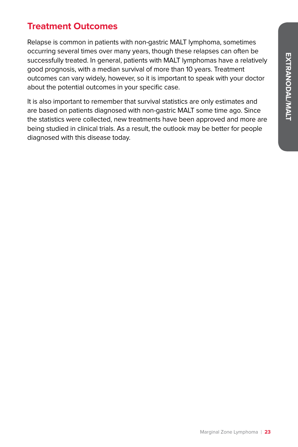## **Treatment Outcomes**

Relapse is common in patients with non-gastric MALT lymphoma, sometimes occurring several times over many years, though these relapses can often be successfully treated. In general, patients with MALT lymphomas have a relatively good prognosis, with a median survival of more than 10 years. Treatment outcomes can vary widely, however, so it is important to speak with your doctor about the potential outcomes in your specific case.

It is also important to remember that survival statistics are only estimates and are based on patients diagnosed with non-gastric MALT some time ago. Since the statistics were collected, new treatments have been approved and more are being studied in clinical trials. As a result, the outlook may be better for people diagnosed with this disease today.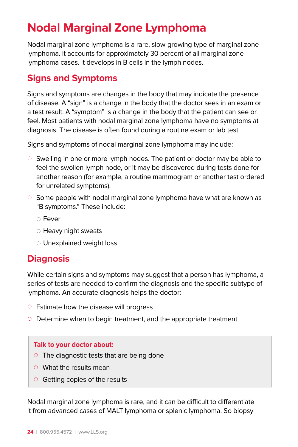## **Nodal Marginal Zone Lymphoma**

Nodal marginal zone lymphoma is a rare, slow-growing type of marginal zone lymphoma. It accounts for approximately 30 percent of all marginal zone lymphoma cases. It develops in B cells in the lymph nodes.

## **Signs and Symptoms**

Signs and symptoms are changes in the body that may indicate the presence of disease. A "sign" is a change in the body that the doctor sees in an exam or a test result. A "symptom" is a change in the body that the patient can see or feel. Most patients with nodal marginal zone lymphoma have no symptoms at diagnosis. The disease is often found during a routine exam or lab test.

Signs and symptoms of nodal marginal zone lymphoma may include:

- $\circ$  Swelling in one or more lymph nodes. The patient or doctor may be able to feel the swollen lymph node, or it may be discovered during tests done for another reason (for example, a routine mammogram or another test ordered for unrelated symptoms).
- $\circ$  Some people with nodal marginal zone lymphoma have what are known as "B symptoms." These include:
	- ${\circ}$  Fever
	- $\circ$  Heavy night sweats
	- $\circ$  Unexplained weight loss

## **Diagnosis**

While certain signs and symptoms may suggest that a person has lymphoma, a series of tests are needed to confirm the diagnosis and the specific subtype of lymphoma. An accurate diagnosis helps the doctor:

- $\circ$  Estimate how the disease will progress
- $\circ$  Determine when to begin treatment, and the appropriate treatment

#### **Talk to your doctor about:**

- $\circ$  The diagnostic tests that are being done
- $\circ$  What the results mean
- $\circ$  Getting copies of the results

Nodal marginal zone lymphoma is rare, and it can be difficult to differentiate it from advanced cases of MALT lymphoma or splenic lymphoma. So biopsy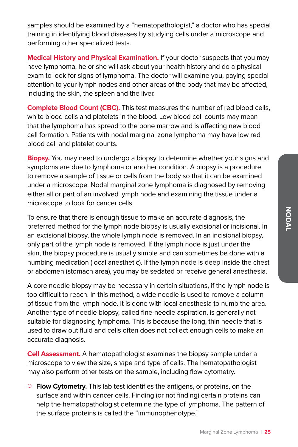samples should be examined by a "hematopathologist," a doctor who has special training in identifying blood diseases by studying cells under a microscope and performing other specialized tests.

**Medical History and Physical Examination.** If your doctor suspects that you may have lymphoma, he or she will ask about your health history and do a physical exam to look for signs of lymphoma. The doctor will examine you, paying special attention to your lymph nodes and other areas of the body that may be affected, including the skin, the spleen and the liver.

**Complete Blood Count (CBC).** This test measures the number of red blood cells, white blood cells and platelets in the blood. Low blood cell counts may mean that the lymphoma has spread to the bone marrow and is affecting new blood cell formation. Patients with nodal marginal zone lymphoma may have low red blood cell and platelet counts.

**Biopsy.** You may need to undergo a biopsy to determine whether your signs and symptoms are due to lymphoma or another condition. A biopsy is a procedure to remove a sample of tissue or cells from the body so that it can be examined under a microscope. Nodal marginal zone lymphoma is diagnosed by removing either all or part of an involved lymph node and examining the tissue under a microscope to look for cancer cells.

To ensure that there is enough tissue to make an accurate diagnosis, the preferred method for the lymph node biopsy is usually excisional or incisional. In an excisional biopsy, the whole lymph node is removed. In an incisional biopsy, only part of the lymph node is removed. If the lymph node is just under the skin, the biopsy procedure is usually simple and can sometimes be done with a numbing medication (local anesthetic). If the lymph node is deep inside the chest or abdomen (stomach area), you may be sedated or receive general anesthesia.

A core needle biopsy may be necessary in certain situations, if the lymph node is too difficult to reach. In this method, a wide needle is used to remove a column of tissue from the lymph node. It is done with local anesthesia to numb the area. Another type of needle biopsy, called fine-needle aspiration, is generally not suitable for diagnosing lymphoma. This is because the long, thin needle that is used to draw out fluid and cells often does not collect enough cells to make an accurate diagnosis.

**Cell Assessment.** A hematopathologist examines the biopsy sample under a microscope to view the size, shape and type of cells. The hematopathologist may also perform other tests on the sample, including flow cytometry.

{ **Flow Cytometry.** This lab test identifies the antigens, or proteins, on the surface and within cancer cells. Finding (or not finding) certain proteins can help the hematopathologist determine the type of lymphoma. The pattern of the surface proteins is called the "immunophenotype."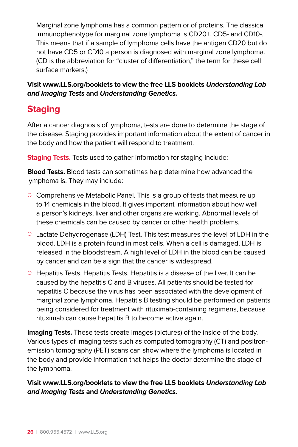Marginal zone lymphoma has a common pattern or of proteins. The classical immunophenotype for marginal zone lymphoma is CD20+, CD5- and CD10-. This means that if a sample of lymphoma cells have the antigen CD20 but do not have CD5 or CD10 a person is diagnosed with marginal zone lymphoma. (CD is the abbreviation for "cluster of differentiation," the term for these cell surface markers.)

**Visit www.LLS.org/booklets to view the free LLS booklets Understanding Lab and Imaging Tests and Understanding Genetics.**

## **Staging**

After a cancer diagnosis of lymphoma, tests are done to determine the stage of the disease. Staging provides important information about the extent of cancer in the body and how the patient will respond to treatment.

**Staging Tests.** Tests used to gather information for staging include:

**Blood Tests.** Blood tests can sometimes help determine how advanced the lymphoma is. They may include:

- $\circ$  Comprehensive Metabolic Panel. This is a group of tests that measure up to 14 chemicals in the blood. It gives important information about how well a person's kidneys, liver and other organs are working. Abnormal levels of these chemicals can be caused by cancer or other health problems.
- $\circ$  Lactate Dehydrogenase (LDH) Test. This test measures the level of LDH in the blood. LDH is a protein found in most cells. When a cell is damaged, LDH is released in the bloodstream. A high level of LDH in the blood can be caused by cancer and can be a sign that the cancer is widespread.
- $\circ$  Hepatitis Tests. Hepatitis Tests. Hepatitis is a disease of the liver. It can be caused by the hepatitis C and B viruses. All patients should be tested for hepatitis C because the virus has been associated with the development of marginal zone lymphoma. Hepatitis B testing should be performed on patients being considered for treatment with rituximab-containing regimens, because rituximab can cause hepatitis B to become active again.

**Imaging Tests.** These tests create images (pictures) of the inside of the body. Various types of imaging tests such as computed tomography (CT) and positronemission tomography (PET) scans can show where the lymphoma is located in the body and provide information that helps the doctor determine the stage of the lymphoma.

**Visit www.LLS.org/booklets to view the free LLS booklets Understanding Lab and Imaging Tests and Understanding Genetics.**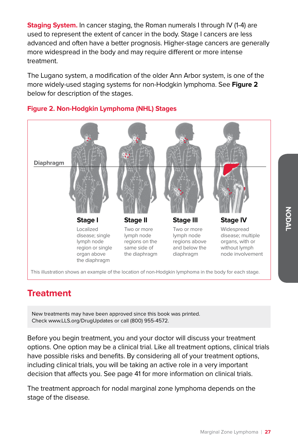**Staging System.** In cancer staging, the Roman numerals I through IV (1-4) are used to represent the extent of cancer in the body. Stage I cancers are less advanced and often have a better prognosis. Higher-stage cancers are generally more widespread in the body and may require different or more intense treatment.

The Lugano system, a modification of the older Ann Arbor system, is one of the more widely-used staging systems for non-Hodgkin lymphoma. See **Figure 2**  below for description of the stages.



#### **Figure 2. Non-Hodgkin Lymphoma (NHL) Stages**

## **Treatment**

New treatments may have been approved since this book was printed. Check www.LLS.org/DrugUpdates or call (800) 955-4572.

Before you begin treatment, you and your doctor will discuss your treatment options. One option may be a clinical trial. Like all treatment options, clinical trials have possible risks and benefits. By considering all of your treatment options, including clinical trials, you will be taking an active role in a very important decision that affects you. See page 41 for more information on clinical trials.

The treatment approach for nodal marginal zone lymphoma depends on the stage of the disease.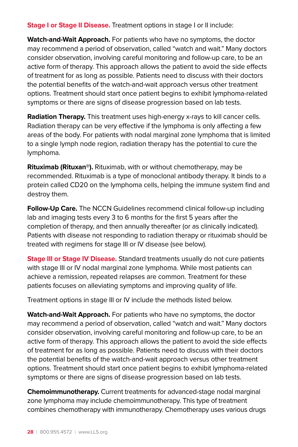**Stage I or Stage II Disease.** Treatment options in stage I or II include:

**Watch-and-Wait Approach.** For patients who have no symptoms, the doctor may recommend a period of observation, called "watch and wait." Many doctors consider observation, involving careful monitoring and follow-up care, to be an active form of therapy. This approach allows the patient to avoid the side effects of treatment for as long as possible. Patients need to discuss with their doctors the potential benefits of the watch-and-wait approach versus other treatment options. Treatment should start once patient begins to exhibit lymphoma-related symptoms or there are signs of disease progression based on lab tests.

**Radiation Therapy.** This treatment uses high-energy x-rays to kill cancer cells. Radiation therapy can be very effective if the lymphoma is only affecting a few areas of the body. For patients with nodal marginal zone lymphoma that is limited to a single lymph node region, radiation therapy has the potential to cure the lymphoma.

**Rituximab (Rituxan®).** Rituximab, with or without chemotherapy, may be recommended. Rituximab is a type of monoclonal antibody therapy. It binds to a protein called CD20 on the lymphoma cells, helping the immune system find and destroy them.

**Follow-Up Care.** The NCCN Guidelines recommend clinical follow-up including lab and imaging tests every 3 to 6 months for the first 5 years after the completion of therapy, and then annually thereafter (or as clinically indicated). Patients with disease not responding to radiation therapy or rituximab should be treated with regimens for stage III or IV disease (see below).

**Stage III or Stage IV Disease.** Standard treatments usually do not cure patients with stage III or IV nodal marginal zone lymphoma. While most patients can achieve a remission, repeated relapses are common. Treatment for these patients focuses on alleviating symptoms and improving quality of life.

Treatment options in stage III or IV include the methods listed below.

**Watch-and-Wait Approach.** For patients who have no symptoms, the doctor may recommend a period of observation, called "watch and wait." Many doctors consider observation, involving careful monitoring and follow-up care, to be an active form of therapy. This approach allows the patient to avoid the side effects of treatment for as long as possible. Patients need to discuss with their doctors the potential benefits of the watch-and-wait approach versus other treatment options. Treatment should start once patient begins to exhibit lymphoma-related symptoms or there are signs of disease progression based on lab tests.

**Chemoimmunotherapy.** Current treatments for advanced-stage nodal marginal zone lymphoma may include chemoimmunotherapy. This type of treatment combines chemotherapy with immunotherapy. Chemotherapy uses various drugs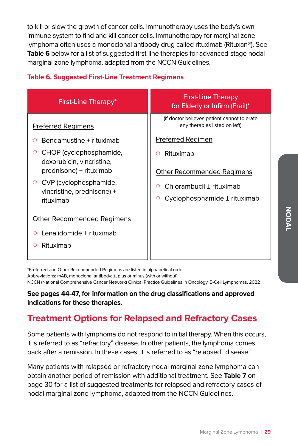to kill or slow the growth of cancer cells. Immunotherapy uses the body's own immune system to find and kill cancer cells. Immunotherapy for marginal zone lymphoma often uses a monoclonal antibody drug called rituximab (Rituxan®). See **Table 6** below for a list of suggested first-line therapies for advanced-stage nodal marginal zone lymphoma, adapted from the NCCN Guidelines.

#### **Table 6. Suggested First-Line Treatment Regimens**

| First-Line Therapy*                                                                                                                                                                                                                              | <b>First-Line Therapy</b><br>for Elderly or Infirm (Frail)*                                                                                                                                                                           |
|--------------------------------------------------------------------------------------------------------------------------------------------------------------------------------------------------------------------------------------------------|---------------------------------------------------------------------------------------------------------------------------------------------------------------------------------------------------------------------------------------|
| <b>Preferred Regimens</b><br>Bendamustine + rituximab<br>CHOP (cyclophosphamide,<br>O<br>doxorubicin, vincristine,<br>prednisone) + rituximab<br>CVP (cyclophosphamide,<br>vincristine, prednisone) +<br>rituximab<br>Other Recommended Regimens | (if doctor believes patient cannot tolerate)<br>any therapies listed on left)<br>Preferred Regimen<br>Rituximab<br>Ο<br><b>Other Recommended Regimens</b><br>Chlorambucil ± rituximab<br>Ο<br>Cyclophosphamide ± rituximab<br>$\circ$ |
| Lenalidomide + rituximab<br>Ο<br>Rituximab<br>∩                                                                                                                                                                                                  |                                                                                                                                                                                                                                       |

\*Preferred and Other Recommended Regimens are listed in alphabetical order.

Abbreviations: mAB, monoclonal antibody; ±, plus or minus (with or without).

NCCN (National Comprehensive Cancer Network) Clinical Practice Guidelines in Oncology. B-Cell Lymphomas. 2022

#### **See pages 44-47, for information on the drug classifications and approved indications for these therapies.**

## **Treatment Options for Relapsed and Refractory Cases**

Some patients with lymphoma do not respond to initial therapy. When this occurs, it is referred to as "refractory" disease. In other patients, the lymphoma comes back after a remission. In these cases, it is referred to as "relapsed" disease.

Many patients with relapsed or refractory nodal marginal zone lymphoma can obtain another period of remission with additional treatment. See **Table 7** on page 30 for a list of suggested treatments for relapsed and refractory cases of nodal marginal zone lymphoma, adapted from the NCCN Guidelines.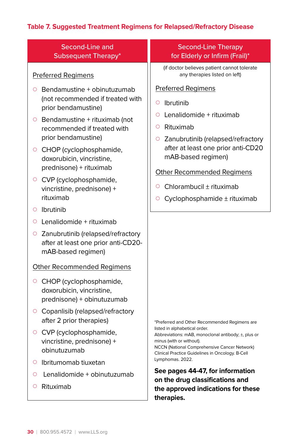### **Table 7. Suggested Treatment Regimens for Relapsed/Refractory Disease**

| Second-Line and<br><b>Subsequent Therapy*</b>                                                                                                                                                                                                                                                                                                                                     | <b>Second-Line Therapy</b><br>for Elderly or Infirm (Frail)*                                                                                                                                                                                                                                                                |
|-----------------------------------------------------------------------------------------------------------------------------------------------------------------------------------------------------------------------------------------------------------------------------------------------------------------------------------------------------------------------------------|-----------------------------------------------------------------------------------------------------------------------------------------------------------------------------------------------------------------------------------------------------------------------------------------------------------------------------|
| <b>Preferred Regimens</b>                                                                                                                                                                                                                                                                                                                                                         | (if doctor believes patient cannot tolerate<br>any therapies listed on left)                                                                                                                                                                                                                                                |
| Bendamustine + obinutuzumab<br>O<br>(not recommended if treated with<br>prior bendamustine)<br>Bendamustine + rituximab (not<br>O<br>recommended if treated with<br>prior bendamustine)<br>CHOP (cyclophosphamide,<br>O<br>doxorubicin, vincristine,<br>prednisone) + rituximab<br>CVP (cyclophosphamide,<br>O<br>vincristine, prednisone) +<br>rituximab<br>Ibrutinib<br>$\circ$ | <b>Preferred Regimens</b><br>Ibrutinib<br>Ο<br>Lenalidomide + rituximab<br>Ο<br>Rituximab<br>$\circ$<br>Zanubrutinib (relapsed/refractory<br>$\circ$<br>after at least one prior anti-CD20<br>mAB-based regimen)<br><b>Other Recommended Regimens</b><br>Chlorambucil ± rituximab<br>O<br>Cyclophosphamide ± rituximab<br>O |
| Lenalidomide + rituximab<br>O                                                                                                                                                                                                                                                                                                                                                     |                                                                                                                                                                                                                                                                                                                             |
| Zanubrutinib (relapsed/refractory<br>O<br>after at least one prior anti-CD20-<br>mAB-based regimen)                                                                                                                                                                                                                                                                               |                                                                                                                                                                                                                                                                                                                             |
| <b>Other Recommended Regimens</b>                                                                                                                                                                                                                                                                                                                                                 |                                                                                                                                                                                                                                                                                                                             |
| CHOP (cyclophosphamide,<br>O<br>doxorubicin, vincristine,<br>prednisone) + obinutuzumab                                                                                                                                                                                                                                                                                           |                                                                                                                                                                                                                                                                                                                             |
| Copanlisib (relapsed/refractory<br>O<br>after 2 prior therapies)                                                                                                                                                                                                                                                                                                                  | *Preferred and Other Recommended Regimens are                                                                                                                                                                                                                                                                               |
| CVP (cyclophosphamide,<br>O<br>vincristine, prednisone) +<br>obinutuzumab                                                                                                                                                                                                                                                                                                         | listed in alphabetical order.<br>Abbreviations: mAB, monoclonal antibody; ±, plus or<br>minus (with or without).<br>NCCN (National Comprehensive Cancer Network)<br>Clinical Practice Guidelines in Oncology. B-Cell                                                                                                        |
| Ibritumomab tiuxetan<br>$\circ$                                                                                                                                                                                                                                                                                                                                                   | Lymphomas. 2022.                                                                                                                                                                                                                                                                                                            |
| Lenalidomide + obinutuzumab<br>O                                                                                                                                                                                                                                                                                                                                                  | See pages 44-47, for information<br>on the drug classifications and                                                                                                                                                                                                                                                         |
| Rituximab<br>O                                                                                                                                                                                                                                                                                                                                                                    | the approved indications for these<br>therapies.                                                                                                                                                                                                                                                                            |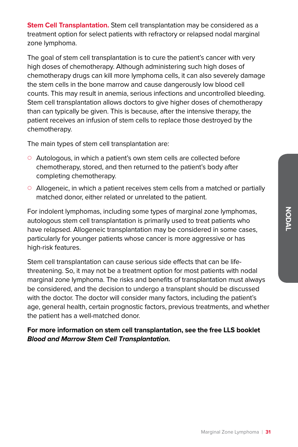**Stem Cell Transplantation.** Stem cell transplantation may be considered as a treatment option for select patients with refractory or relapsed nodal marginal zone lymphoma.

The goal of stem cell transplantation is to cure the patient's cancer with very high doses of chemotherapy. Although administering such high doses of chemotherapy drugs can kill more lymphoma cells, it can also severely damage the stem cells in the bone marrow and cause dangerously low blood cell counts. This may result in anemia, serious infections and uncontrolled bleeding. Stem cell transplantation allows doctors to give higher doses of chemotherapy than can typically be given. This is because, after the intensive therapy, the patient receives an infusion of stem cells to replace those destroyed by the chemotherapy.

The main types of stem cell transplantation are:

- $\circ$  Autologous, in which a patient's own stem cells are collected before chemotherapy, stored, and then returned to the patient's body after completing chemotherapy.
- $\circ$  Allogeneic, in which a patient receives stem cells from a matched or partially matched donor, either related or unrelated to the patient.

For indolent lymphomas, including some types of marginal zone lymphomas, autologous stem cell transplantation is primarily used to treat patients who have relapsed. Allogeneic transplantation may be considered in some cases, particularly for younger patients whose cancer is more aggressive or has high-risk features.

Stem cell transplantation can cause serious side effects that can be lifethreatening. So, it may not be a treatment option for most patients with nodal marginal zone lymphoma. The risks and benefits of transplantation must always be considered, and the decision to undergo a transplant should be discussed with the doctor. The doctor will consider many factors, including the patient's age, general health, certain prognostic factors, previous treatments, and whether the patient has a well-matched donor.

#### **For more information on stem cell transplantation, see the free LLS booklet Blood and Marrow Stem Cell Transplantation.**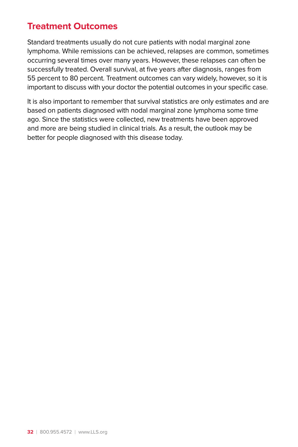## **Treatment Outcomes**

Standard treatments usually do not cure patients with nodal marginal zone lymphoma. While remissions can be achieved, relapses are common, sometimes occurring several times over many years. However, these relapses can often be successfully treated. Overall survival, at five years after diagnosis, ranges from 55 percent to 80 percent. Treatment outcomes can vary widely, however, so it is important to discuss with your doctor the potential outcomes in your specific case.

It is also important to remember that survival statistics are only estimates and are based on patients diagnosed with nodal marginal zone lymphoma some time ago. Since the statistics were collected, new treatments have been approved and more are being studied in clinical trials. As a result, the outlook may be better for people diagnosed with this disease today.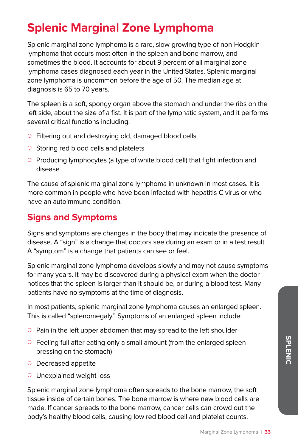## **Splenic Marginal Zone Lymphoma**

Splenic marginal zone lymphoma is a rare, slow-growing type of non-Hodgkin lymphoma that occurs most often in the spleen and bone marrow, and sometimes the blood. It accounts for about 9 percent of all marginal zone lymphoma cases diagnosed each year in the United States. Splenic marginal zone lymphoma is uncommon before the age of 50. The median age at diagnosis is 65 to 70 years.

The spleen is a soft, spongy organ above the stomach and under the ribs on the left side, about the size of a fist. It is part of the lymphatic system, and it performs several critical functions including:

- Filtering out and destroying old, damaged blood cells
- $\circ$  Storing red blood cells and platelets
- { Producing lymphocytes (a type of white blood cell) that fight infection and disease

The cause of splenic marginal zone lymphoma in unknown in most cases. It is more common in people who have been infected with hepatitis C virus or who have an autoimmune condition.

## **Signs and Symptoms**

Signs and symptoms are changes in the body that may indicate the presence of disease. A "sign" is a change that doctors see during an exam or in a test result. A "symptom" is a change that patients can see or feel.

Splenic marginal zone lymphoma develops slowly and may not cause symptoms for many years. It may be discovered during a physical exam when the doctor notices that the spleen is larger than it should be, or during a blood test. Many patients have no symptoms at the time of diagnosis.

In most patients, splenic marginal zone lymphoma causes an enlarged spleen. This is called "splenomegaly." Symptoms of an enlarged spleen include:

- $\circ$  Pain in the left upper abdomen that may spread to the left shoulder
- $\circ$  Feeling full after eating only a small amount (from the enlarged spleen pressing on the stomach)
- $\circ$  Decreased appetite
- $\circ$  Unexplained weight loss

Splenic marginal zone lymphoma often spreads to the bone marrow, the soft tissue inside of certain bones. The bone marrow is where new blood cells are made. If cancer spreads to the bone marrow, cancer cells can crowd out the body's healthy blood cells, causing low red blood cell and platelet counts.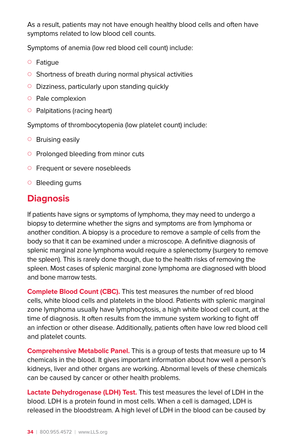As a result, patients may not have enough healthy blood cells and often have symptoms related to low blood cell counts.

Symptoms of anemia (low red blood cell count) include:

- ${\circ}$  Fatigue
- $\circ$  Shortness of breath during normal physical activities
- $\circ$  Dizziness, particularly upon standing quickly
- $\circ$  Pale complexion
- $\circ$  Palpitations (racing heart)

Symptoms of thrombocytopenia (low platelet count) include:

- $\circ$  Bruising easily
- $\circ$  Prolonged bleeding from minor cuts
- **Exercise 1 Frequent or severe nosebleeds**
- $\circ$  Bleeding gums

## **Diagnosis**

If patients have signs or symptoms of lymphoma, they may need to undergo a biopsy to determine whether the signs and symptoms are from lymphoma or another condition. A biopsy is a procedure to remove a sample of cells from the body so that it can be examined under a microscope. A definitive diagnosis of splenic marginal zone lymphoma would require a splenectomy (surgery to remove the spleen). This is rarely done though, due to the health risks of removing the spleen. Most cases of splenic marginal zone lymphoma are diagnosed with blood and bone marrow tests.

**Complete Blood Count (CBC).** This test measures the number of red blood cells, white blood cells and platelets in the blood. Patients with splenic marginal zone lymphoma usually have lymphocytosis, a high white blood cell count, at the time of diagnosis. It often results from the immune system working to fight off an infection or other disease. Additionally, patients often have low red blood cell and platelet counts.

**Comprehensive Metabolic Panel.** This is a group of tests that measure up to 14 chemicals in the blood. It gives important information about how well a person's kidneys, liver and other organs are working. Abnormal levels of these chemicals can be caused by cancer or other health problems.

**Lactate Dehydrogenase (LDH) Test.** This test measures the level of LDH in the blood. LDH is a protein found in most cells. When a cell is damaged, LDH is released in the bloodstream. A high level of LDH in the blood can be caused by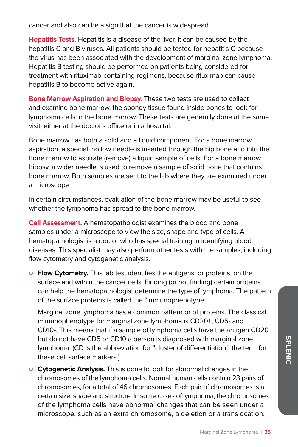cancer and also can be a sign that the cancer is widespread.

**Hepatitis Tests.** Hepatitis is a disease of the liver. It can be caused by the hepatitis C and B viruses. All patients should be tested for hepatitis C because the virus has been associated with the development of marginal zone lymphoma. Hepatitis B testing should be performed on patients being considered for treatment with rituximab-containing regimens, because rituximab can cause hepatitis B to become active again.

**Bone Marrow Aspiration and Biopsy.** These two tests are used to collect and examine bone marrow, the spongy tissue found inside bones to look for lymphoma cells in the bone marrow. These tests are generally done at the same visit, either at the doctor's office or in a hospital.

Bone marrow has both a solid and a liquid component. For a bone marrow aspiration, a special, hollow needle is inserted through the hip bone and into the bone marrow to aspirate (remove) a liquid sample of cells. For a bone marrow biopsy, a wider needle is used to remove a sample of solid bone that contains bone marrow. Both samples are sent to the lab where they are examined under a microscope.

In certain circumstances, evaluation of the bone marrow may be useful to see whether the lymphoma has spread to the bone marrow.

**Cell Assessment.** A hematopathologist examines the blood and bone samples under a microscope to view the size, shape and type of cells. A hematopathologist is a doctor who has special training in identifying blood diseases. This specialist may also perform other tests with the samples, including flow cytometry and cytogenetic analysis.

{ **Flow Cytometry.** This lab test identifies the antigens, or proteins, on the surface and within the cancer cells. Finding (or not finding) certain proteins can help the hematopathologist determine the type of lymphoma. The pattern of the surface proteins is called the "immunophenotype."

Marginal zone lymphoma has a common pattern or of proteins. The classical immunophenotype for marginal zone lymphoma is CD20+, CD5- and CD10-. This means that if a sample of lymphoma cells have the antigen CD20 but do not have CD5 or CD10 a person is diagnosed with marginal zone lymphoma. (CD is the abbreviation for "cluster of differentiation," the term for these cell surface markers.)

{ **Cytogenetic Analysis.** This is done to look for abnormal changes in the chromosomes of the lymphoma cells. Normal human cells contain 23 pairs of chromosomes, for a total of 46 chromosomes. Each pair of chromosomes is a certain size, shape and structure. In some cases of lymphoma, the chromosomes of the lymphoma cells have abnormal changes that can be seen under a microscope, such as an extra chromosome, a deletion or a translocation.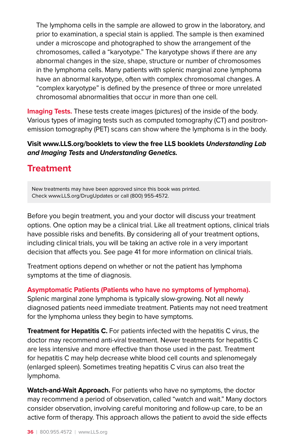The lymphoma cells in the sample are allowed to grow in the laboratory, and prior to examination, a special stain is applied. The sample is then examined under a microscope and photographed to show the arrangement of the chromosomes, called a "karyotype." The karyotype shows if there are any abnormal changes in the size, shape, structure or number of chromosomes in the lymphoma cells. Many patients with splenic marginal zone lymphoma have an abnormal karyotype, often with complex chromosomal changes. A "complex karyotype" is defined by the presence of three or more unrelated chromosomal abnormalities that occur in more than one cell.

**Imaging Tests.** These tests create images (pictures) of the inside of the body. Various types of imaging tests such as computed tomography (CT) and positronemission tomography (PET) scans can show where the lymphoma is in the body.

#### **Visit www.LLS.org/booklets to view the free LLS booklets Understanding Lab and Imaging Tests and Understanding Genetics.**

### **Treatment**

New treatments may have been approved since this book was printed. Check www.LLS.org/DrugUpdates or call (800) 955-4572.

Before you begin treatment, you and your doctor will discuss your treatment options. One option may be a clinical trial. Like all treatment options, clinical trials have possible risks and benefits. By considering all of your treatment options, including clinical trials, you will be taking an active role in a very important decision that affects you. See page 41 for more information on clinical trials.

Treatment options depend on whether or not the patient has lymphoma symptoms at the time of diagnosis.

**Asymptomatic Patients (Patients who have no symptoms of lymphoma).** Splenic marginal zone lymphoma is typically slow-growing. Not all newly diagnosed patients need immediate treatment. Patients may not need treatment for the lymphoma unless they begin to have symptoms.

**Treatment for Hepatitis C.** For patients infected with the hepatitis C virus, the doctor may recommend anti-viral treatment. Newer treatments for hepatitis C are less intensive and more effective than those used in the past. Treatment for hepatitis C may help decrease white blood cell counts and splenomegaly (enlarged spleen). Sometimes treating hepatitis C virus can also treat the lymphoma.

**Watch-and-Wait Approach.** For patients who have no symptoms, the doctor may recommend a period of observation, called "watch and wait." Many doctors consider observation, involving careful monitoring and follow-up care, to be an active form of therapy. This approach allows the patient to avoid the side effects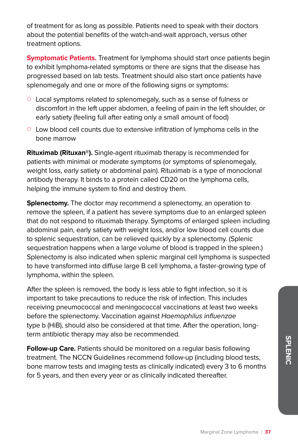of treatment for as long as possible. Patients need to speak with their doctors about the potential benefits of the watch-and-wait approach, versus other treatment options.

**Symptomatic Patients.** Treatment for lymphoma should start once patients begin to exhibit lymphoma-related symptoms or there are signs that the disease has progressed based on lab tests. Treatment should also start once patients have splenomegaly and one or more of the following signs or symptoms:

- $\circ$  Local symptoms related to splenomegaly, such as a sense of fulness or discomfort in the left upper abdomen, a feeling of pain in the left shoulder, or early satiety (feeling full after eating only a small amount of food)
- $\circ$  Low blood cell counts due to extensive infiltration of lymphoma cells in the bone marrow

**Rituximab (Rituxan®).** Single-agent rituximab therapy is recommended for patients with minimal or moderate symptoms (or symptoms of splenomegaly, weight loss, early satiety or abdominal pain). Rituximab is a type of monoclonal antibody therapy. It binds to a protein called CD20 on the lymphoma cells, helping the immune system to find and destroy them.

**Splenectomy.** The doctor may recommend a splenectomy, an operation to remove the spleen, if a patient has severe symptoms due to an enlarged spleen that do not respond to rituximab therapy. Symptoms of enlarged spleen including abdominal pain, early satiety with weight loss, and/or low blood cell counts due to splenic sequestration, can be relieved quickly by a splenectomy. (Splenic sequestration happens when a large volume of blood is trapped in the spleen.) Splenectomy is also indicated when splenic marginal cell lymphoma is suspected to have transformed into diffuse large B cell lymphoma, a faster-growing type of lymphoma, within the spleen.

After the spleen is removed, the body is less able to fight infection, so it is important to take precautions to reduce the risk of infection. This includes receiving pneumococcal and meningococcal vaccinations at least two weeks before the splenectomy. Vaccination against Haemophilus influenzae type b (HiB), should also be considered at that time. After the operation, longterm antibiotic therapy may also be recommended.

**Follow-up Care.** Patients should be monitored on a regular basis following treatment. The NCCN Guidelines recommend follow-up (including blood tests, bone marrow tests and imaging tests as clinically indicated) every 3 to 6 months for 5 years, and then every year or as clinically indicated thereafter.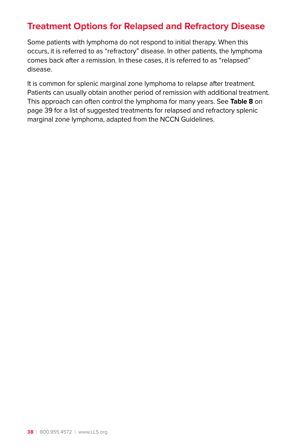## **Treatment Options for Relapsed and Refractory Disease**

Some patients with lymphoma do not respond to initial therapy. When this occurs, it is referred to as "refractory" disease. In other patients, the lymphoma comes back after a remission. In these cases, it is referred to as "relapsed" disease.

It is common for splenic marginal zone lymphoma to relapse after treatment. Patients can usually obtain another period of remission with additional treatment. This approach can often control the lymphoma for many years. See **Table 8** on page 39 for a list of suggested treatments for relapsed and refractory splenic marginal zone lymphoma, adapted from the NCCN Guidelines.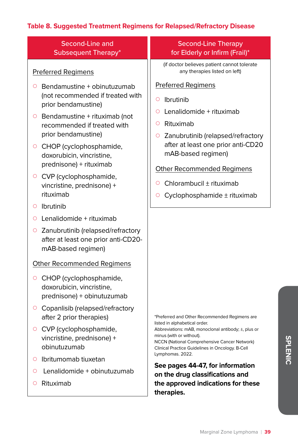### **Table 8. Suggested Treatment Regimens for Relapsed/Refractory Disease**

| Second-Line and<br>Subsequent Therapy*                                                                                                                                                                                                                                                                                                                 | <b>Second-Line Therapy</b><br>for Elderly or Infirm (Frail)*                                                                                                                                                                                                                                                                  |
|--------------------------------------------------------------------------------------------------------------------------------------------------------------------------------------------------------------------------------------------------------------------------------------------------------------------------------------------------------|-------------------------------------------------------------------------------------------------------------------------------------------------------------------------------------------------------------------------------------------------------------------------------------------------------------------------------|
| <b>Preferred Regimens</b>                                                                                                                                                                                                                                                                                                                              | (if doctor believes patient cannot tolerate<br>any therapies listed on left)                                                                                                                                                                                                                                                  |
| Bendamustine + obinutuzumab<br>Ο<br>(not recommended if treated with<br>prior bendamustine)<br>$\circ$ Bendamustine + rituximab (not<br>recommended if treated with<br>prior bendamustine)<br>○ CHOP (cyclophosphamide,<br>doxorubicin, vincristine,<br>prednisone) + rituximab<br>○ CVP (cyclophosphamide,<br>vincristine, prednisone) +<br>rituximab | <b>Preferred Regimens</b><br>Ibrutinib<br>O<br>Lenalidomide + rituximab<br>O<br>Rituximab<br>Ο<br>Zanubrutinib (relapsed/refractory<br>O<br>after at least one prior anti-CD20<br>mAB-based regimen)<br><b>Other Recommended Regimens</b><br>Chlorambucil ± rituximab<br>O<br>Cyclophosphamide ± rituximab<br>O               |
| Ibrutinib<br>$\circ$<br>Lenalidomide + rituximab<br>$\circ$<br>○ Zanubrutinib (relapsed/refractory<br>after at least one prior anti-CD20-<br>mAB-based regimen)                                                                                                                                                                                        |                                                                                                                                                                                                                                                                                                                               |
| Other Recommended Regimens<br>○ CHOP (cyclophosphamide,<br>doxorubicin, vincristine,<br>prednisone) + obinutuzumab<br>○ Copanlisib (relapsed/refractory<br>after 2 prior therapies)<br>○ CVP (cyclophosphamide,<br>vincristine, prednisone) +<br>obinutuzumab<br>Ibritumomab tiuxetan<br>O                                                             | *Preferred and Other Recommended Regimens are<br>listed in alphabetical order.<br>Abbreviations: mAB, monoclonal antibody; ±, plus or<br>minus (with or without).<br>NCCN (National Comprehensive Cancer Network)<br>Clinical Practice Guidelines in Oncology. B-Cell<br>Lymphomas. 2022.<br>See pages 44-47, for information |
| Lenalidomide + obinutuzumab<br>$\circ$<br>Rituximab<br>O                                                                                                                                                                                                                                                                                               | on the drug classifications and<br>the approved indications for these<br>therapies.                                                                                                                                                                                                                                           |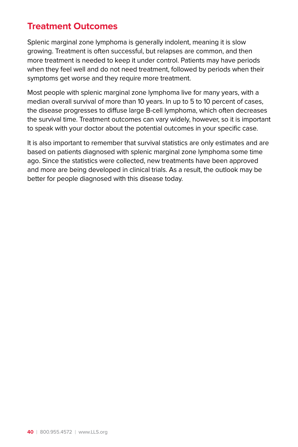## **Treatment Outcomes**

Splenic marginal zone lymphoma is generally indolent, meaning it is slow growing. Treatment is often successful, but relapses are common, and then more treatment is needed to keep it under control. Patients may have periods when they feel well and do not need treatment, followed by periods when their symptoms get worse and they require more treatment.

Most people with splenic marginal zone lymphoma live for many years, with a median overall survival of more than 10 years. In up to 5 to 10 percent of cases, the disease progresses to diffuse large B-cell lymphoma, which often decreases the survival time. Treatment outcomes can vary widely, however, so it is important to speak with your doctor about the potential outcomes in your specific case.

It is also important to remember that survival statistics are only estimates and are based on patients diagnosed with splenic marginal zone lymphoma some time ago. Since the statistics were collected, new treatments have been approved and more are being developed in clinical trials. As a result, the outlook may be better for people diagnosed with this disease today.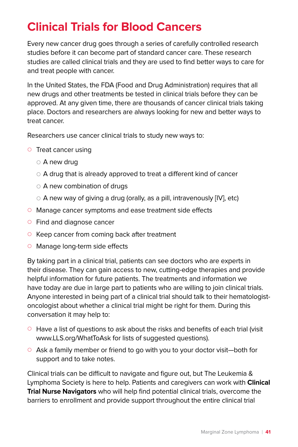## **Clinical Trials for Blood Cancers**

Every new cancer drug goes through a series of carefully controlled research studies before it can become part of standard cancer care. These research studies are called clinical trials and they are used to find better ways to care for and treat people with cancer.

In the United States, the FDA (Food and Drug Administration) requires that all new drugs and other treatments be tested in clinical trials before they can be approved. At any given time, there are thousands of cancer clinical trials taking place. Doctors and researchers are always looking for new and better ways to treat cancer.

Researchers use cancer clinical trials to study new ways to:

- $\circ$  Treat cancer using
	- $\circ$  A new drug
	- $\circ$  A drug that is already approved to treat a different kind of cancer
	- $\circ$  A new combination of drugs
	- $\circ$  A new way of giving a drug (orally, as a pill, intravenously [IV], etc)
- $\circ$  Manage cancer symptoms and ease treatment side effects
- $\circ$  Find and diagnose cancer
- $\circ$  Keep cancer from coming back after treatment
- $\circ$  Manage long-term side effects

By taking part in a clinical trial, patients can see doctors who are experts in their disease. They can gain access to new, cutting-edge therapies and provide helpful information for future patients. The treatments and information we have today are due in large part to patients who are willing to join clinical trials. Anyone interested in being part of a clinical trial should talk to their hematologistoncologist about whether a clinical trial might be right for them. During this conversation it may help to:

- $\circ$  Have a list of questions to ask about the risks and benefits of each trial (visit www.LLS.org/WhatToAsk for lists of suggested questions).
- $\circ$  Ask a family member or friend to go with you to your doctor visit—both for support and to take notes.

Clinical trials can be difficult to navigate and figure out, but The Leukemia & Lymphoma Society is here to help. Patients and caregivers can work with **Clinical Trial Nurse Navigators** who will help find potential clinical trials, overcome the barriers to enrollment and provide support throughout the entire clinical trial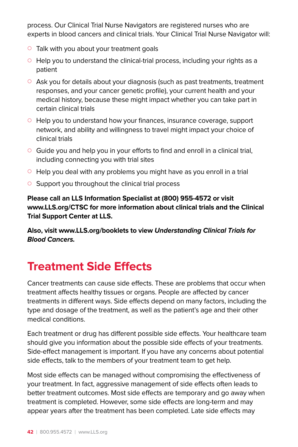process. Our Clinical Trial Nurse Navigators are registered nurses who are experts in blood cancers and clinical trials. Your Clinical Trial Nurse Navigator will:

- $\circ$  Talk with you about your treatment goals
- $\circ$  Help you to understand the clinical-trial process, including your rights as a patient
- $\circ$  Ask you for details about your diagnosis (such as past treatments, treatment responses, and your cancer genetic profile), your current health and your medical history, because these might impact whether you can take part in certain clinical trials
- $\circ$  Help you to understand how your finances, insurance coverage, support network, and ability and willingness to travel might impact your choice of clinical trials
- $\circ$  Guide you and help you in your efforts to find and enroll in a clinical trial, including connecting you with trial sites
- $\circ$  Help you deal with any problems you might have as you enroll in a trial
- $\circ$  Support you throughout the clinical trial process

**Please call an LLS Information Specialist at (800) 955-4572 or visit www.LLS.org/CTSC for more information about clinical trials and the Clinical Trial Support Center at LLS.** 

**Also, visit www.LLS.org/booklets to view Understanding Clinical Trials for Blood Cancers.**

## **Treatment Side Effects**

Cancer treatments can cause side effects. These are problems that occur when treatment affects healthy tissues or organs. People are affected by cancer treatments in different ways. Side effects depend on many factors, including the type and dosage of the treatment, as well as the patient's age and their other medical conditions.

Each treatment or drug has different possible side effects. Your healthcare team should give you information about the possible side effects of your treatments. Side-effect management is important. If you have any concerns about potential side effects, talk to the members of your treatment team to get help.

Most side effects can be managed without compromising the effectiveness of your treatment. In fact, aggressive management of side effects often leads to better treatment outcomes. Most side effects are temporary and go away when treatment is completed. However, some side effects are long-term and may appear years after the treatment has been completed. Late side effects may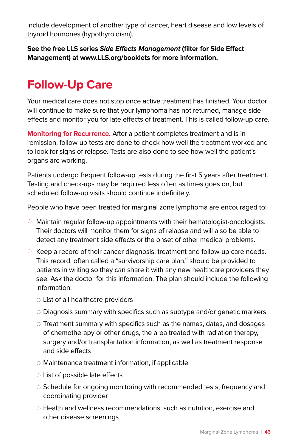include development of another type of cancer, heart disease and low levels of thyroid hormones (hypothyroidism).

**See the free LLS series Side Effects Management (filter for Side Effect Management) at www.LLS.org/booklets for more information.**

## **Follow-Up Care**

Your medical care does not stop once active treatment has finished. Your doctor will continue to make sure that your lymphoma has not returned, manage side effects and monitor you for late effects of treatment. This is called follow-up care.

**Monitoring for Recurrence.** After a patient completes treatment and is in remission, follow-up tests are done to check how well the treatment worked and to look for signs of relapse. Tests are also done to see how well the patient's organs are working.

Patients undergo frequent follow-up tests during the first 5 years after treatment. Testing and check-ups may be required less often as times goes on, but scheduled follow-up visits should continue indefinitely.

People who have been treated for marginal zone lymphoma are encouraged to:

- $\circ$  Maintain regular follow-up appointments with their hematologist-oncologists. Their doctors will monitor them for signs of relapse and will also be able to detect any treatment side effects or the onset of other medical problems.
- $\circ$  Keep a record of their cancer diagnosis, treatment and follow-up care needs. This record, often called a "survivorship care plan," should be provided to patients in writing so they can share it with any new healthcare providers they see. Ask the doctor for this information. The plan should include the following information:
	- $\circ$  List of all healthcare providers
	- $\circ$  Diagnosis summary with specifics such as subtype and/or genetic markers
	- $\circ$  Treatment summary with specifics such as the names, dates, and dosages of chemotherapy or other drugs, the area treated with radiation therapy, surgery and/or transplantation information, as well as treatment response and side effects
	- $\circ$  Maintenance treatment information, if applicable
	- $\circ$  List of possible late effects
	- $\circ$  Schedule for ongoing monitoring with recommended tests, frequency and coordinating provider
	- $\circ$  Health and wellness recommendations, such as nutrition, exercise and other disease screenings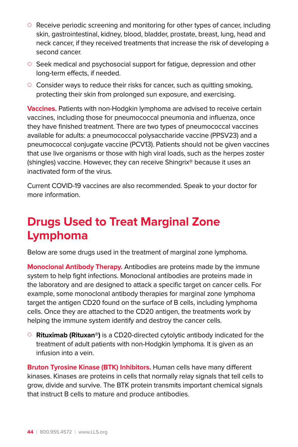- $\circ$  Receive periodic screening and monitoring for other types of cancer, including skin, gastrointestinal, kidney, blood, bladder, prostate, breast, lung, head and neck cancer, if they received treatments that increase the risk of developing a second cancer.
- Seek medical and psychosocial support for fatigue, depression and other long-term effects, if needed.
- $\circ$  Consider ways to reduce their risks for cancer, such as quitting smoking, protecting their skin from prolonged sun exposure, and exercising.

**Vaccines.** Patients with non-Hodgkin lymphoma are advised to receive certain vaccines, including those for pneumococcal pneumonia and influenza, once they have finished treatment. There are two types of pneumococcal vaccines available for adults: a pneumococcal polysaccharide vaccine (PPSV23) and a pneumococcal conjugate vaccine (PCV13). Patients should not be given vaccines that use live organisms or those with high viral loads, such as the herpes zoster (shingles) vaccine. However, they can receive Shingrix® because it uses an inactivated form of the virus.

Current COVID-19 vaccines are also recommended. Speak to your doctor for more information.

## **Drugs Used to Treat Marginal Zone Lymphoma**

Below are some drugs used in the treatment of marginal zone lymphoma.

**Monoclonal Antibody Therapy.** Antibodies are proteins made by the immune system to help fight infections. Monoclonal antibodies are proteins made in the laboratory and are designed to attack a specific target on cancer cells. For example, some monoclonal antibody therapies for marginal zone lymphoma target the antigen CD20 found on the surface of B cells, including lymphoma cells. Once they are attached to the CD20 antigen, the treatments work by helping the immune system identify and destroy the cancer cells.

{ **Rituximab (Rituxan®)** is a CD20-directed cytolytic antibody indicated for the treatment of adult patients with non-Hodgkin lymphoma. It is given as an infusion into a vein.

**Bruton Tyrosine Kinase (BTK) Inhibitors.** Human cells have many different kinases. Kinases are proteins in cells that normally relay signals that tell cells to grow, divide and survive. The BTK protein transmits important chemical signals that instruct B cells to mature and produce antibodies.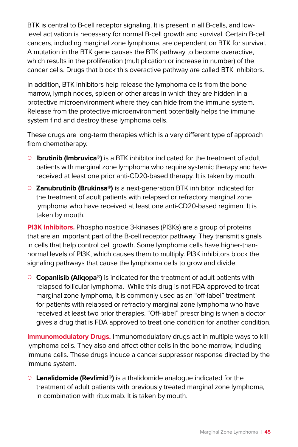BTK is central to B-cell receptor signaling. It is present in all B-cells, and lowlevel activation is necessary for normal B-cell growth and survival. Certain B-cell cancers, including marginal zone lymphoma, are dependent on BTK for survival. A mutation in the BTK gene causes the BTK pathway to become overactive, which results in the proliferation (multiplication or increase in number) of the cancer cells. Drugs that block this overactive pathway are called BTK inhibitors.

In addition, BTK inhibitors help release the lymphoma cells from the bone marrow, lymph nodes, spleen or other areas in which they are hidden in a protective microenvironment where they can hide from the immune system. Release from the protective microenvironment potentially helps the immune system find and destroy these lymphoma cells.

These drugs are long-term therapies which is a very different type of approach from chemotherapy.

- { **Ibrutinib (Imbruvica®)** is a BTK inhibitor indicated for the treatment of adult patients with marginal zone lymphoma who require systemic therapy and have received at least one prior anti-CD20-based therapy. It is taken by mouth.
- { **Zanubrutinib (Brukinsa®)** is a next-generation BTK inhibitor indicated for the treatment of adult patients with relapsed or refractory marginal zone lymphoma who have received at least one anti-CD20-based regimen. It is taken by mouth.

**PI3K Inhibitors.** Phosphoinositide 3-kinases (PI3Ks) are a group of proteins that are an important part of the B-cell receptor pathway. They transmit signals in cells that help control cell growth. Some lymphoma cells have higher-thannormal levels of PI3K, which causes them to multiply. PI3K inhibitors block the signaling pathways that cause the lymphoma cells to grow and divide.

{ **Copanlisib (Aliqopa®)** is indicated for the treatment of adult patients with relapsed follicular lymphoma. While this drug is not FDA-approved to treat marginal zone lymphoma, it is commonly used as an "off-label" treatment for patients with relapsed or refractory marginal zone lymphoma who have received at least two prior therapies. "Off-label" prescribing is when a doctor gives a drug that is FDA approved to treat one condition for another condition.

**Immunomodulatory Drugs.** Immunomodulatory drugs act in multiple ways to kill lymphoma cells. They also and affect other cells in the bone marrow, including immune cells. These drugs induce a cancer suppressor response directed by the immune system.

{ **Lenalidomide (Revlimid®)** is a thalidomide analogue indicated for the treatment of adult patients with previously treated marginal zone lymphoma, in combination with rituximab. It is taken by mouth.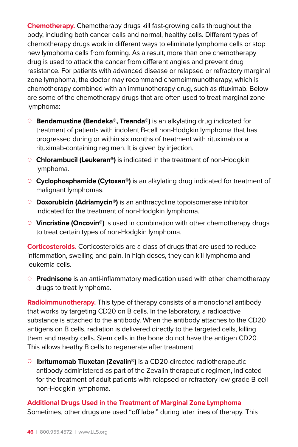**Chemotherapy.** Chemotherapy drugs kill fast-growing cells throughout the body, including both cancer cells and normal, healthy cells. Different types of chemotherapy drugs work in different ways to eliminate lymphoma cells or stop new lymphoma cells from forming. As a result, more than one chemotherapy drug is used to attack the cancer from different angles and prevent drug resistance. For patients with advanced disease or relapsed or refractory marginal zone lymphoma, the doctor may recommend chemoimmunotherapy, which is chemotherapy combined with an immunotherapy drug, such as rituximab. Below are some of the chemotherapy drugs that are often used to treat marginal zone lymphoma:

- { **Bendamustine (Bendeka®, Treanda®)** is an alkylating drug indicated for treatment of patients with indolent B-cell non-Hodgkin lymphoma that has progressed during or within six months of treatment with rituximab or a rituximab-containing regimen. It is given by injection.
- { **Chlorambucil (Leukeran®)** is indicated in the treatment of non-Hodgkin lymphoma.
- { **Cyclophosphamide (Cytoxan®)** is an alkylating drug indicated for treatment of malignant lymphomas.
- { **Doxorubicin (Adriamycin®)** is an anthracycline topoisomerase inhibitor indicated for the treatment of non-Hodgkin lymphoma.
- **Vincristine (Oncovin**<sup>®</sup>) is used in combination with other chemotherapy drugs to treat certain types of non-Hodgkin lymphoma.

**Corticosteroids.** Corticosteroids are a class of drugs that are used to reduce inflammation, swelling and pain. In high doses, they can kill lymphoma and leukemia cells.

{ **Prednisone** is an anti-inflammatory medication used with other chemotherapy drugs to treat lymphoma.

**Radioimmunotherapy.** This type of therapy consists of a monoclonal antibody that works by targeting CD20 on B cells. In the laboratory, a radioactive substance is attached to the antibody. When the antibody attaches to the CD20 antigens on B cells, radiation is delivered directly to the targeted cells, killing them and nearby cells. Stem cells in the bone do not have the antigen CD20. This allows heathy B cells to regenerate after treatment.

{ **Ibritumomab Tiuxetan (Zevalin®)** is a CD20-directed radiotherapeutic antibody administered as part of the Zevalin therapeutic regimen, indicated for the treatment of adult patients with relapsed or refractory low-grade B-cell non-Hodgkin lymphoma.

### **Additional Drugs Used in the Treatment of Marginal Zone Lymphoma**

Sometimes, other drugs are used "off label" during later lines of therapy. This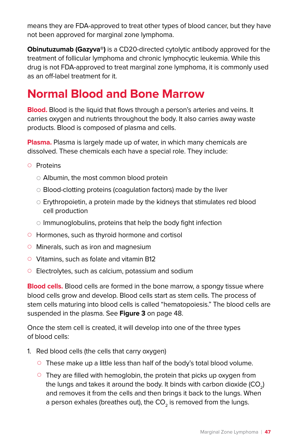means they are FDA-approved to treat other types of blood cancer, but they have not been approved for marginal zone lymphoma.

**Obinutuzumab (Gazyva®)** is a CD20-directed cytolytic antibody approved for the treatment of follicular lymphoma and chronic lymphocytic leukemia. While this drug is not FDA-approved to treat marginal zone lymphoma, it is commonly used as an off-label treatment for it.

## **Normal Blood and Bone Marrow**

**Blood.** Blood is the liquid that flows through a person's arteries and veins. It carries oxygen and nutrients throughout the body. It also carries away waste products. Blood is composed of plasma and cells.

**Plasma.** Plasma is largely made up of water, in which many chemicals are dissolved. These chemicals each have a special role. They include:

- O Proteins
	- $\circ$  Albumin, the most common blood protein
	- $\circ$  Blood-clotting proteins (coagulation factors) made by the liver
	- $\circ$  Erythropoietin, a protein made by the kidneys that stimulates red blood cell production
	- $\circ$  Immunoglobulins, proteins that help the body fight infection
- $\circ$  Hormones, such as thyroid hormone and cortisol
- $\circ$  Minerals, such as iron and magnesium
- $\circ$  Vitamins, such as folate and vitamin B12
- $\circ$  Electrolytes, such as calcium, potassium and sodium

**Blood cells.** Blood cells are formed in the bone marrow, a spongy tissue where blood cells grow and develop. Blood cells start as stem cells. The process of stem cells maturing into blood cells is called "hematopoiesis." The blood cells are suspended in the plasma. See **Figure 3** on page 48.

Once the stem cell is created, it will develop into one of the three types of blood cells:

- 1. Red blood cells (the cells that carry oxygen)
	- $\circ$  These make up a little less than half of the body's total blood volume.
	- $\circ$  They are filled with hemoglobin, the protein that picks up oxygen from the lungs and takes it around the body. It binds with carbon dioxide  $(CO<sub>2</sub>)$ and removes it from the cells and then brings it back to the lungs. When a person exhales (breathes out), the  $CO<sub>2</sub>$  is removed from the lungs.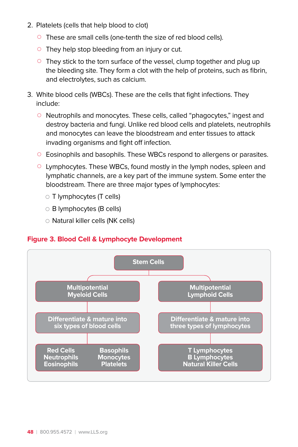- 2. Platelets (cells that help blood to clot)
	- $\circ$  These are small cells (one-tenth the size of red blood cells).
	- $\circ$  They help stop bleeding from an injury or cut.
	- $\circ$  They stick to the torn surface of the vessel, clump together and plug up the bleeding site. They form a clot with the help of proteins, such as fibrin, and electrolytes, such as calcium.
- 3. White blood cells (WBCs). These are the cells that fight infections. They include:
	- $\circ$  Neutrophils and monocytes. These cells, called "phagocytes," ingest and destroy bacteria and fungi. Unlike red blood cells and platelets, neutrophils and monocytes can leave the bloodstream and enter tissues to attack invading organisms and fight off infection.
	- $\circ$  Eosinophils and basophils. These WBCs respond to allergens or parasites.
	- $\circ$  Lymphocytes. These WBCs, found mostly in the lymph nodes, spleen and lymphatic channels, are a key part of the immune system. Some enter the bloodstream. There are three major types of lymphocytes:
		- $\circ$  T lymphocytes (T cells)
		- $\circ$  B lymphocytes (B cells)
		- { Natural killer cells (NK cells)

#### **Figure 3. Blood Cell & Lymphocyte Development**

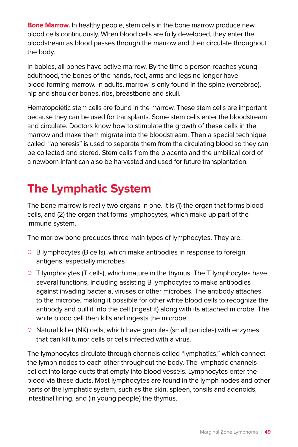**Bone Marrow.** In healthy people, stem cells in the bone marrow produce new blood cells continuously. When blood cells are fully developed, they enter the bloodstream as blood passes through the marrow and then circulate throughout the body.

In babies, all bones have active marrow. By the time a person reaches young adulthood, the bones of the hands, feet, arms and legs no longer have blood-forming marrow. In adults, marrow is only found in the spine (vertebrae), hip and shoulder bones, ribs, breastbone and skull.

Hematopoietic stem cells are found in the marrow. These stem cells are important because they can be used for transplants. Some stem cells enter the bloodstream and circulate. Doctors know how to stimulate the growth of these cells in the marrow and make them migrate into the bloodstream. Then a special technique called "apheresis" is used to separate them from the circulating blood so they can be collected and stored. Stem cells from the placenta and the umbilical cord of a newborn infant can also be harvested and used for future transplantation.

## **The Lymphatic System**

The bone marrow is really two organs in one. It is (1) the organ that forms blood cells, and (2) the organ that forms lymphocytes, which make up part of the immune system.

The marrow bone produces three main types of lymphocytes. They are:

- $\circ$  B lymphocytes (B cells), which make antibodies in response to foreign antigens, especially microbes
- $\circ$  T lymphocytes (T cells), which mature in the thymus. The T lymphocytes have several functions, including assisting B lymphocytes to make antibodies against invading bacteria, viruses or other microbes. The antibody attaches to the microbe, making it possible for other white blood cells to recognize the antibody and pull it into the cell (ingest it) along with its attached microbe. The white blood cell then kills and ingests the microbe.
- $\circ$  Natural killer (NK) cells, which have granules (small particles) with enzymes that can kill tumor cells or cells infected with a virus.

The lymphocytes circulate through channels called "lymphatics," which connect the lymph nodes to each other throughout the body. The lymphatic channels collect into large ducts that empty into blood vessels. Lymphocytes enter the blood via these ducts. Most lymphocytes are found in the lymph nodes and other parts of the lymphatic system, such as the skin, spleen, tonsils and adenoids, intestinal lining, and (in young people) the thymus.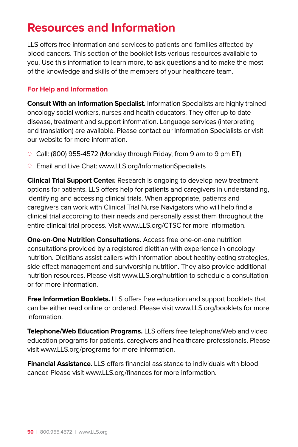## **Resources and Information**

LLS offers free information and services to patients and families affected by blood cancers. This section of the booklet lists various resources available to you. Use this information to learn more, to ask questions and to make the most of the knowledge and skills of the members of your healthcare team.

#### **For Help and Information**

**Consult With an Information Specialist.** Information Specialists are highly trained oncology social workers, nurses and health educators. They offer up-to-date disease, treatment and support information. Language services (interpreting and translation) are available. Please contact our Information Specialists or visit our website for more information.

- $\circ$  Call: (800) 955-4572 (Monday through Friday, from 9 am to 9 pm ET)
- Email and Live Chat: www.LLS.org/InformationSpecialists

**Clinical Trial Support Center.** Research is ongoing to develop new treatment options for patients. LLS offers help for patients and caregivers in understanding, identifying and accessing clinical trials. When appropriate, patients and caregivers can work with Clinical Trial Nurse Navigators who will help find a clinical trial according to their needs and personally assist them throughout the entire clinical trial process. Visit www.LLS.org/CTSC for more information.

**One-on-One Nutrition Consultations.** Access free one-on-one nutrition consultations provided by a registered dietitian with experience in oncology nutrition. Dietitians assist callers with information about healthy eating strategies, side effect management and survivorship nutrition. They also provide additional nutrition resources. Please visit www.LLS.org/nutrition to schedule a consultation or for more information.

**Free Information Booklets.** LLS offers free education and support booklets that can be either read online or ordered. Please visit www.LLS.org/booklets for more information.

**Telephone/Web Education Programs.** LLS offers free telephone/Web and video education programs for patients, caregivers and healthcare professionals. Please visit www.LLS.org/programs for more information.

**Financial Assistance.** LLS offers financial assistance to individuals with blood cancer. Please visit www.LLS.org/finances for more information.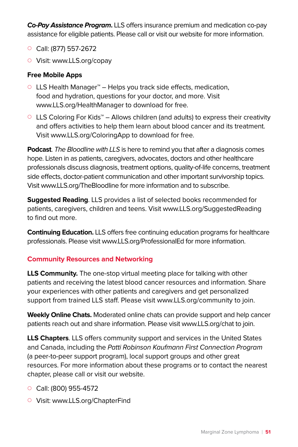**Co-Pay Assistance Program.** LLS offers insurance premium and medication co-pay assistance for eligible patients. Please call or visit our website for more information.

- $\circ$  Call: (877) 557-2672
- Visit: www.LLS.org/copay

#### **Free Mobile Apps**

- { LLS Health Manager™ Helps you track side effects, medication, food and hydration, questions for your doctor, and more. Visit www.LLS.org/HealthManager to download for free.
- { LLS Coloring For Kids™ Allows children (and adults) to express their creativity and offers activities to help them learn about blood cancer and its treatment. Visit www.LLS.org/ColoringApp to download for free.

**Podcast**. The Bloodline with LLS is here to remind you that after a diagnosis comes hope. Listen in as patients, caregivers, advocates, doctors and other healthcare professionals discuss diagnosis, treatment options, quality-of-life concerns, treatment side effects, doctor-patient communication and other important survivorship topics. Visit www.LLS.org/TheBloodline for more information and to subscribe.

**Suggested Reading**. LLS provides a list of selected books recommended for patients, caregivers, children and teens. Visit www.LLS.org/SuggestedReading to find out more.

**Continuing Education.** LLS offers free continuing education programs for healthcare professionals. Please visit www.LLS.org/ProfessionalEd for more information.

#### **Community Resources and Networking**

**LLS Community.** The one-stop virtual meeting place for talking with other patients and receiving the latest blood cancer resources and information. Share your experiences with other patients and caregivers and get personalized support from trained LLS staff. Please visit www.LLS.org/community to join.

**Weekly Online Chats.** Moderated online chats can provide support and help cancer patients reach out and share information. Please visit www.LLS.org/chat to join.

**LLS Chapters**. LLS offers community support and services in the United States and Canada, including the Patti Robinson Kaufmann First Connection Program (a peer-to-peer support program), local support groups and other great resources. For more information about these programs or to contact the nearest chapter, please call or visit our website.

- $\circ$  Call: (800) 955-4572
- Visit: www.LLS.org/ChapterFind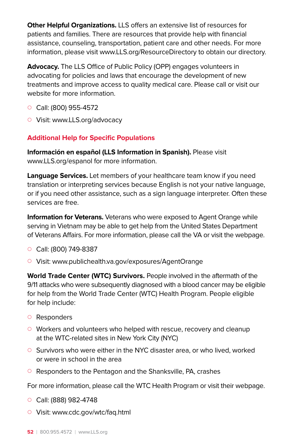**Other Helpful Organizations.** LLS offers an extensive list of resources for patients and families. There are resources that provide help with financial assistance, counseling, transportation, patient care and other needs. For more information, please visit www.LLS.org/ResourceDirectory to obtain our directory.

**Advocacy.** The LLS Office of Public Policy (OPP) engages volunteers in advocating for policies and laws that encourage the development of new treatments and improve access to quality medical care. Please call or visit our website for more information.

- $\circ$  Call: (800) 955-4572
- Visit: www.LLS.org/advocacy

#### **Additional Help for Specific Populations**

**Información en español (LLS Information in Spanish).** Please visit www.LLS.org/espanol for more information.

**Language Services.** Let members of your healthcare team know if you need translation or interpreting services because English is not your native language, or if you need other assistance, such as a sign language interpreter. Often these services are free.

**Information for Veterans.** Veterans who were exposed to Agent Orange while serving in Vietnam may be able to get help from the United States Department of Veterans Affairs. For more information, please call the VA or visit the webpage.

- $\circ$  Call: (800) 749-8387
- Visit: www.publichealth.va.gov/exposures/AgentOrange

**World Trade Center (WTC) Survivors.** People involved in the aftermath of the 9/11 attacks who were subsequently diagnosed with a blood cancer may be eligible for help from the World Trade Center (WTC) Health Program. People eligible for help include:

- { Responders
- $\circ$  Workers and volunteers who helped with rescue, recovery and cleanup at the WTC-related sites in New York City (NYC)
- $\circ$  Survivors who were either in the NYC disaster area, or who lived, worked or were in school in the area
- $\circ$  Responders to the Pentagon and the Shanksville, PA, crashes

For more information, please call the WTC Health Program or visit their webpage.

- $\circ$  Call: (888) 982-4748
- Visit: www.cdc.gov/wtc/fag.html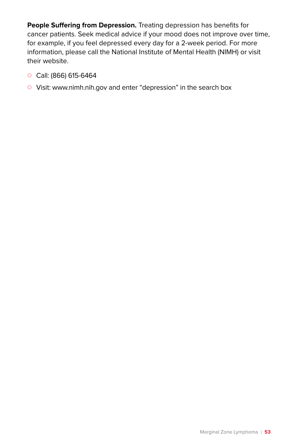**People Suffering from Depression.** Treating depression has benefits for cancer patients. Seek medical advice if your mood does not improve over time, for example, if you feel depressed every day for a 2-week period. For more information, please call the National Institute of Mental Health (NIMH) or visit their website.

- $\circ$  Call: (866) 615-6464
- { Visit: www.nimh.nih.gov and enter "depression" in the search box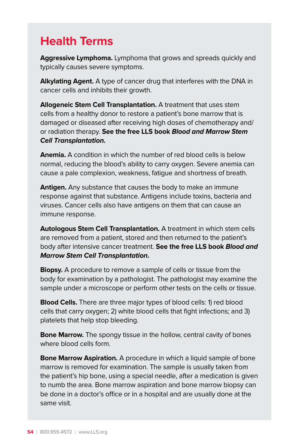## **Health Terms**

**Aggressive Lymphoma.** Lymphoma that grows and spreads quickly and typically causes severe symptoms.

**Alkylating Agent.** A type of cancer drug that interferes with the DNA in cancer cells and inhibits their growth.

**Allogeneic Stem Cell Transplantation.** A treatment that uses stem cells from a healthy donor to restore a patient's bone marrow that is damaged or diseased after receiving high doses of chemotherapy and/ or radiation therapy. **See the free LLS book Blood and Marrow Stem Cell Transplantation.**

**Anemia.** A condition in which the number of red blood cells is below normal, reducing the blood's ability to carry oxygen. Severe anemia can cause a pale complexion, weakness, fatigue and shortness of breath.

**Antigen.** Any substance that causes the body to make an immune response against that substance. Antigens include toxins, bacteria and viruses. Cancer cells also have antigens on them that can cause an immune response.

**Autologous Stem Cell Transplantation.** A treatment in which stem cells are removed from a patient, stored and then returned to the patient's body after intensive cancer treatment. **See the free LLS book Blood and Marrow Stem Cell Transplantation.**

**Biopsy.** A procedure to remove a sample of cells or tissue from the body for examination by a pathologist. The pathologist may examine the sample under a microscope or perform other tests on the cells or tissue.

**Blood Cells.** There are three major types of blood cells: 1) red blood cells that carry oxygen; 2) white blood cells that fight infections; and 3) platelets that help stop bleeding.

**Bone Marrow.** The spongy tissue in the hollow, central cavity of bones where blood cells form.

**Bone Marrow Aspiration.** A procedure in which a liquid sample of bone marrow is removed for examination. The sample is usually taken from the patient's hip bone, using a special needle, after a medication is given to numb the area. Bone marrow aspiration and bone marrow biopsy can be done in a doctor's office or in a hospital and are usually done at the same visit.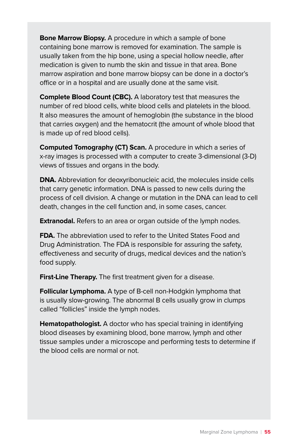**Bone Marrow Biopsy.** A procedure in which a sample of bone containing bone marrow is removed for examination. The sample is usually taken from the hip bone, using a special hollow needle, after medication is given to numb the skin and tissue in that area. Bone marrow aspiration and bone marrow biopsy can be done in a doctor's office or in a hospital and are usually done at the same visit.

**Complete Blood Count (CBC).** A laboratory test that measures the number of red blood cells, white blood cells and platelets in the blood. It also measures the amount of hemoglobin (the substance in the blood that carries oxygen) and the hematocrit (the amount of whole blood that is made up of red blood cells).

**Computed Tomography (CT) Scan.** A procedure in which a series of x-ray images is processed with a computer to create 3-dimensional (3-D) views of tissues and organs in the body.

**DNA.** Abbreviation for deoxyribonucleic acid, the molecules inside cells that carry genetic information. DNA is passed to new cells during the process of cell division. A change or mutation in the DNA can lead to cell death, changes in the cell function and, in some cases, cancer.

**Extranodal.** Refers to an area or organ outside of the lymph nodes.

**FDA.** The abbreviation used to refer to the United States Food and Drug Administration. The FDA is responsible for assuring the safety, effectiveness and security of drugs, medical devices and the nation's food supply.

**First-Line Therapy.** The first treatment given for a disease.

**Follicular Lymphoma.** A type of B-cell non-Hodgkin lymphoma that is usually slow-growing. The abnormal B cells usually grow in clumps called "follicles" inside the lymph nodes.

**Hematopathologist.** A doctor who has special training in identifying blood diseases by examining blood, bone marrow, lymph and other tissue samples under a microscope and performing tests to determine if the blood cells are normal or not.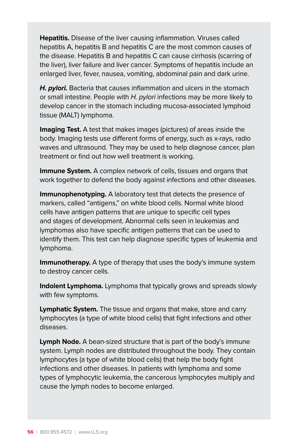**Hepatitis.** Disease of the liver causing inflammation. Viruses called hepatitis A, hepatitis B and hepatitis C are the most common causes of the disease. Hepatitis B and hepatitis C can cause cirrhosis (scarring of the liver), liver failure and liver cancer. Symptoms of hepatitis include an enlarged liver, fever, nausea, vomiting, abdominal pain and dark urine.

**H. pylori.** Bacteria that causes inflammation and ulcers in the stomach or small intestine. People with H. pylori infections may be more likely to develop cancer in the stomach including mucosa-associated lymphoid tissue (MALT) lymphoma.

**Imaging Test.** A test that makes images (pictures) of areas inside the body. Imaging tests use different forms of energy, such as x-rays, radio waves and ultrasound. They may be used to help diagnose cancer, plan treatment or find out how well treatment is working.

**Immune System.** A complex network of cells, tissues and organs that work together to defend the body against infections and other diseases.

**Immunophenotyping.** A laboratory test that detects the presence of markers, called "antigens," on white blood cells. Normal white blood cells have antigen patterns that are unique to specific cell types and stages of development. Abnormal cells seen in leukemias and lymphomas also have specific antigen patterns that can be used to identify them. This test can help diagnose specific types of leukemia and lymphoma.

**Immunotherapy.** A type of therapy that uses the body's immune system to destroy cancer cells.

**Indolent Lymphoma.** Lymphoma that typically grows and spreads slowly with few symptoms.

**Lymphatic System.** The tissue and organs that make, store and carry lymphocytes (a type of white blood cells) that fight infections and other diseases.

**Lymph Node.** A bean-sized structure that is part of the body's immune system. Lymph nodes are distributed throughout the body. They contain lymphocytes (a type of white blood cells) that help the body fight infections and other diseases. In patients with lymphoma and some types of lymphocytic leukemia, the cancerous lymphocytes multiply and cause the lymph nodes to become enlarged.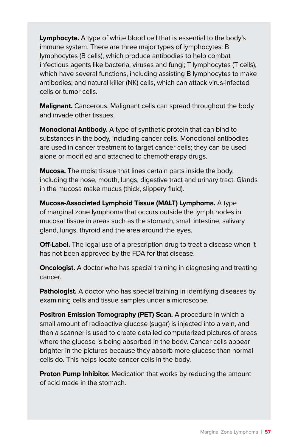**Lymphocyte.** A type of white blood cell that is essential to the body's immune system. There are three major types of lymphocytes: B lymphocytes (B cells), which produce antibodies to help combat infectious agents like bacteria, viruses and fungi; T lymphocytes (T cells), which have several functions, including assisting B lymphocytes to make antibodies; and natural killer (NK) cells, which can attack virus-infected cells or tumor cells.

**Malignant.** Cancerous. Malignant cells can spread throughout the body and invade other tissues.

**Monoclonal Antibody.** A type of synthetic protein that can bind to substances in the body, including cancer cells. Monoclonal antibodies are used in cancer treatment to target cancer cells; they can be used alone or modified and attached to chemotherapy drugs.

**Mucosa.** The moist tissue that lines certain parts inside the body, including the nose, mouth, lungs, digestive tract and urinary tract. Glands in the mucosa make mucus (thick, slippery fluid).

**Mucosa-Associated Lymphoid Tissue (MALT) Lymphoma.** A type of marginal zone lymphoma that occurs outside the lymph nodes in mucosal tissue in areas such as the stomach, small intestine, salivary gland, lungs, thyroid and the area around the eyes.

**Off-Label.** The legal use of a prescription drug to treat a disease when it has not been approved by the FDA for that disease.

**Oncologist.** A doctor who has special training in diagnosing and treating cancer.

**Pathologist.** A doctor who has special training in identifying diseases by examining cells and tissue samples under a microscope.

**Positron Emission Tomography (PET) Scan.** A procedure in which a small amount of radioactive glucose (sugar) is injected into a vein, and then a scanner is used to create detailed computerized pictures of areas where the glucose is being absorbed in the body. Cancer cells appear brighter in the pictures because they absorb more glucose than normal cells do. This helps locate cancer cells in the body.

**Proton Pump Inhibitor.** Medication that works by reducing the amount of acid made in the stomach.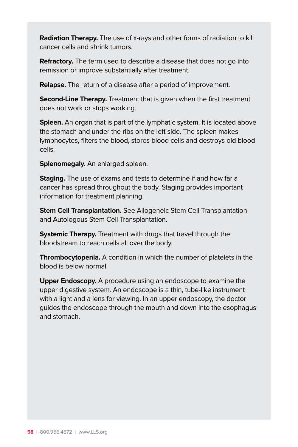**Radiation Therapy.** The use of x-rays and other forms of radiation to kill cancer cells and shrink tumors.

**Refractory.** The term used to describe a disease that does not go into remission or improve substantially after treatment.

**Relapse.** The return of a disease after a period of improvement.

**Second-Line Therapy.** Treatment that is given when the first treatment does not work or stops working.

**Spleen.** An organ that is part of the lymphatic system. It is located above the stomach and under the ribs on the left side. The spleen makes lymphocytes, filters the blood, stores blood cells and destroys old blood cells.

**Splenomegaly.** An enlarged spleen.

**Staging.** The use of exams and tests to determine if and how far a cancer has spread throughout the body. Staging provides important information for treatment planning.

**Stem Cell Transplantation.** See Allogeneic Stem Cell Transplantation and Autologous Stem Cell Transplantation.

**Systemic Therapy.** Treatment with drugs that travel through the bloodstream to reach cells all over the body.

**Thrombocytopenia.** A condition in which the number of platelets in the blood is below normal.

**Upper Endoscopy.** A procedure using an endoscope to examine the upper digestive system. An endoscope is a thin, tube-like instrument with a light and a lens for viewing. In an upper endoscopy, the doctor guides the endoscope through the mouth and down into the esophagus and stomach.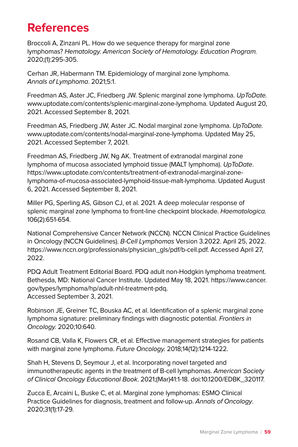## **References**

Broccoli A, Zinzani PL. How do we sequence therapy for marginal zone lymphomas? Hematology. American Society of Hematology. Education Program. 2020;(1):295-305.

Cerhan JR, Habermann TM. Epidemiology of marginal zone lymphoma. Annals of Lymphoma. 2021;5:1.

Freedman AS, Aster JC, Friedberg JW. Splenic marginal zone lymphoma. UpToDate. www.uptodate.com/contents/splenic-marginal-zone-lymphoma. Updated August 20, 2021. Accessed September 8, 2021.

Freedman AS, Friedberg JW, Aster JC. Nodal marginal zone lymphoma. UpToDate. www.uptodate.com/contents/nodal-marginal-zone-lymphoma. Updated May 25, 2021. Accessed September 7, 2021.

Freedman AS, Friedberg JW, Ng AK. Treatment of extranodal marginal zone lymphoma of mucosa associated lymphoid tissue (MALT lymphoma). UpToDate. https://www.uptodate.com/contents/treatment-of-extranodal-marginal-zonelymphoma-of-mucosa-associated-lymphoid-tissue-malt-lymphoma. Updated August 6, 2021. Accessed September 8, 2021.

Miller PG, Sperling AS, Gibson CJ, et al. 2021. A deep molecular response of splenic marginal zone lymphoma to front-line checkpoint blockade. Haematologica. 106(2):651-654.

National Comprehensive Cancer Network (NCCN). NCCN Clinical Practice Guidelines in Oncology (NCCN Guidelines). B-Cell Lymphomas Version 3.2022. April 25, 2022. https://www.nccn.org/professionals/physician\_gls/pdf/b-cell.pdf. Accessed April 27, 2022.

PDQ Adult Treatment Editorial Board. PDQ adult non-Hodgkin lymphoma treatment. Bethesda, MD: National Cancer Institute. Updated May 18, 2021. https://www.cancer. gov/types/lymphoma/hp/adult-nhl-treatment-pdq. Accessed September 3, 2021.

Robinson JE, Greiner TC, Bouska AC, et al. Identification of a splenic marginal zone lymphoma signature: preliminary findings with diagnostic potential. Frontiers in Oncology. 2020;10:640.

Rosand CB, Valla K, Flowers CR, et al. Effective management strategies for patients with marginal zone lymphoma. Future Oncology. 2018;14(12):1214-1222.

Shah H, Stevens D, Seymour J, et al. Incorporating novel targeted and immunotherapeutic agents in the treatment of B-cell lymphomas. American Society of Clinical Oncology Educational Book. 2021;(Mar)41:1-18. doi:10.1200/EDBK\_320117.

Zucca E, Arcaini L, Buske C, et al. Marginal zone lymphomas: ESMO Clinical Practice Guidelines for diagnosis, treatment and follow-up. Annals of Oncology. 2020;31(1):17-29.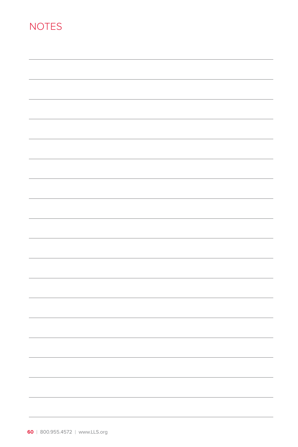## **NOTES**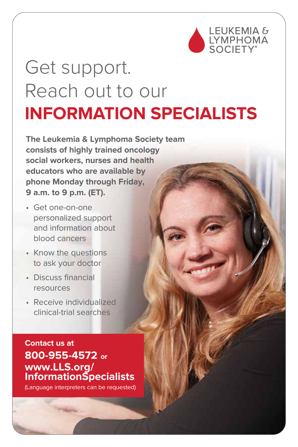

Marginal Zone Lymphoma I **61**

# Get support. Reach out to our **INFORMATION SPECIALISTS**

**The Leukemia & Lymphoma Society team consists of highly trained oncology social workers, nurses and health educators who are available by phone Monday through Friday, 9 a.m. to 9 p.m. (ET).**

- Get one-on-one personalized support and information about blood cancers
- Know the questions to ask your doctor
- Discuss financial resources
- Receive individualized clinical-trial searches

**Contact us at 800-955-4572 or www.LLS.org/ InformationSpecialists**

(Language interpreters can be requested)